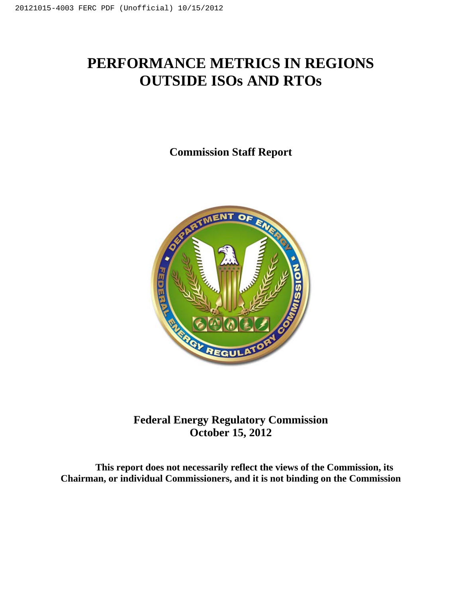# **PERFORMANCE METRICS IN REGIONS OUTSIDE ISOs AND RTOs**

**Commission Staff Report** 



# **Federal Energy Regulatory Commission October 15, 2012**

**This report does not necessarily reflect the views of the Commission, its Chairman, or individual Commissioners, and it is not binding on the Commission**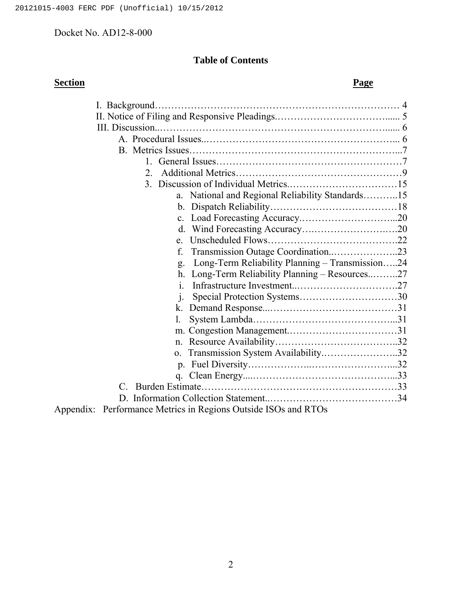# **Table of Contents**

| <b>Section</b> | <b>Page</b>                                                                                                                                                                                             |  |
|----------------|---------------------------------------------------------------------------------------------------------------------------------------------------------------------------------------------------------|--|
|                |                                                                                                                                                                                                         |  |
|                |                                                                                                                                                                                                         |  |
|                |                                                                                                                                                                                                         |  |
|                |                                                                                                                                                                                                         |  |
|                |                                                                                                                                                                                                         |  |
|                |                                                                                                                                                                                                         |  |
|                | $2_{-}$                                                                                                                                                                                                 |  |
|                |                                                                                                                                                                                                         |  |
|                | National and Regional Reliability Standards15                                                                                                                                                           |  |
|                |                                                                                                                                                                                                         |  |
|                |                                                                                                                                                                                                         |  |
|                |                                                                                                                                                                                                         |  |
|                | $e^{-}$                                                                                                                                                                                                 |  |
|                | f.                                                                                                                                                                                                      |  |
|                | Long-Term Reliability Planning - Transmission24<br>g.                                                                                                                                                   |  |
|                | Long-Term Reliability Planning - Resources27<br>h.                                                                                                                                                      |  |
|                | $\mathbf{1}$                                                                                                                                                                                            |  |
|                | $\mathbf{1}$ .                                                                                                                                                                                          |  |
|                | k.                                                                                                                                                                                                      |  |
|                | 1.                                                                                                                                                                                                      |  |
|                |                                                                                                                                                                                                         |  |
|                | $n_{\rm{}}$                                                                                                                                                                                             |  |
|                | Transmission System Availability32<br>$\mathbf{0}$ .                                                                                                                                                    |  |
|                |                                                                                                                                                                                                         |  |
|                |                                                                                                                                                                                                         |  |
|                | $\mathcal{C}$                                                                                                                                                                                           |  |
|                |                                                                                                                                                                                                         |  |
|                | $\mathbf{L} \cdot \mathbf{D}$ and $\mathbf{L} \cdot \mathbf{L} \cdot \mathbf{L}$ and $\mathbf{L} \cdot \mathbf{L} \cdot \mathbf{D}$ and $\mathbf{L} \cdot \mathbf{D} \cdot \mathbf{L} \cdot \mathbf{L}$ |  |

Appendix: Performance Metrics in Regions Outside ISOs and RTOs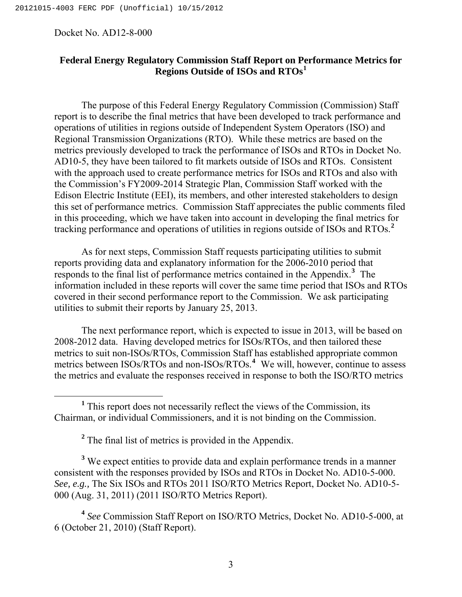# **Federal Energy Regulatory Commission Staff Report on Performance Metrics for Regions Outside of ISOs and RTOs[1](#page-2-0)**

The purpose of this Federal Energy Regulatory Commission (Commission) Staff report is to describe the final metrics that have been developed to track performance and operations of utilities in regions outside of Independent System Operators (ISO) and Regional Transmission Organizations (RTO). While these metrics are based on the metrics previously developed to track the performance of ISOs and RTOs in Docket No. AD10-5, they have been tailored to fit markets outside of ISOs and RTOs. Consistent with the approach used to create performance metrics for ISOs and RTOs and also with the Commission's FY2009-2014 Strategic Plan, Commission Staff worked with the Edison Electric Institute (EEI), its members, and other interested stakeholders to design this set of performance metrics. Commission Staff appreciates the public comments filed in this proceeding, which we have taken into account in developing the final metrics for tracking performance and operations of utilities in regions outside of ISOs and RTOs.**[2](#page-2-1)**

As for next steps, Commission Staff requests participating utilities to submit reports providing data and explanatory information for the 2006-2010 period that responds to the final list of performance metrics contained in the Appendix.**[3](#page-2-2)** The information included in these reports will cover the same time period that ISOs and RTOs covered in their second performance report to the Commission. We ask participating utilities to submit their reports by January 25, 2013.

The next performance report, which is expected to issue in 2013, will be based on 2008-2012 data. Having developed metrics for ISOs/RTOs, and then tailored these metrics to suit non-ISOs/RTOs, Commission Staff has established appropriate common metrics between ISOs/RTOs and non-ISOs/RTOs.**[4](#page-2-3)** We will, however, continue to assess the metrics and evaluate the responses received in response to both the ISO/RTO metrics

<span id="page-2-2"></span><span id="page-2-1"></span><sup>3</sup> We expect entities to provide data and explain performance trends in a manner consistent with the responses provided by ISOs and RTOs in Docket No. AD10-5-000. *See, e.g.,* The Six ISOs and RTOs 2011 ISO/RTO Metrics Report, Docket No. AD10-5- 000 (Aug. 31, 2011) (2011 ISO/RTO Metrics Report).

<span id="page-2-3"></span>**<sup>4</sup>** *See* Commission Staff Report on ISO/RTO Metrics, Docket No. AD10-5-000, at 6 (October 21, 2010) (Staff Report).

<span id="page-2-0"></span><sup>&</sup>lt;u>1</u> <sup>1</sup> This report does not necessarily reflect the views of the Commission, its Chairman, or individual Commissioners, and it is not binding on the Commission.

<sup>&</sup>lt;sup>2</sup> The final list of metrics is provided in the Appendix.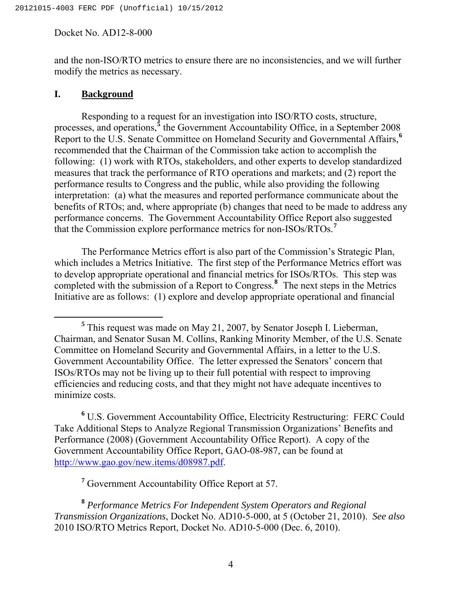and the non-ISO/RTO metrics to ensure there are no inconsistencies, and we will further modify the metrics as necessary.

#### **I. Background**

 Responding to a request for an investigation into ISO/RTO costs, structure, processes, and operations,<sup>[5](#page-3-0)</sup> the Government Accountability Office, in a September 2008 Report to the U.S. Senate Committee on Homeland Security and Governmental Affairs,**[6](#page-3-1)** recommended that the Chairman of the Commission take action to accomplish the following: (1) work with RTOs, stakeholders, and other experts to develop standardized measures that track the performance of RTO operations and markets; and (2) report the performance results to Congress and the public, while also providing the following interpretation: (a) what the measures and reported performance communicate about the benefits of RTOs; and, where appropriate (b) changes that need to be made to address any performance concerns. The Government Accountability Office Report also suggested that the Commission explore performance metrics for non-ISOs/RTOs.**[7](#page-3-2)**

 The Performance Metrics effort is also part of the Commission's Strategic Plan, which includes a Metrics Initiative. The first step of the Performance Metrics effort was to develop appropriate operational and financial metrics for ISOs/RTOs. This step was completed with the submission of a Report to Congress.**[8](#page-3-3)** The next steps in the Metrics Initiative are as follows: (1) explore and develop appropriate operational and financial

<span id="page-3-1"></span>**6** U.S. Government Accountability Office, Electricity Restructuring: FERC Could Take Additional Steps to Analyze Regional Transmission Organizations' Benefits and Performance (2008) (Government Accountability Office Report). A copy of the Government Accountability Office Report, GAO-08-987, can be found at [http://www.gao.gov/new.items/d08987.pdf.](http://www.gao.gov/new.items/d08987.pdf)

**7** Government Accountability Office Report at 57.

<span id="page-3-0"></span>**<sup>5</sup>** <sup>5</sup> This request was made on May 21, 2007, by Senator Joseph I. Lieberman, Chairman, and Senator Susan M. Collins, Ranking Minority Member, of the U.S. Senate Committee on Homeland Security and Governmental Affairs, in a letter to the U.S. Government Accountability Office. The letter expressed the Senators' concern that ISOs/RTOs may not be living up to their full potential with respect to improving efficiencies and reducing costs, and that they might not have adequate incentives to minimize costs.

<span id="page-3-3"></span><span id="page-3-2"></span>**<sup>8</sup>** *Performance Metrics For Independent System Operators and Regional Transmission Organizations*, Docket No. AD10-5-000, at 5 (October 21, 2010). *See also*  2010 ISO/RTO Metrics Report, Docket No. AD10-5-000 (Dec. 6, 2010).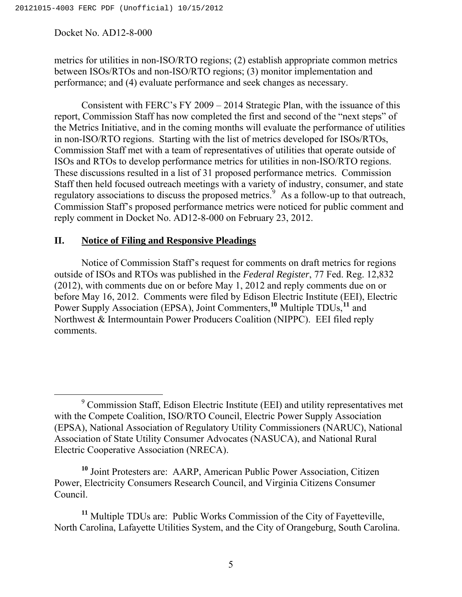metrics for utilities in non-ISO/RTO regions; (2) establish appropriate common metrics between ISOs/RTOs and non-ISO/RTO regions; (3) monitor implementation and performance; and (4) evaluate performance and seek changes as necessary.

 Consistent with FERC's FY 2009 – 2014 Strategic Plan, with the issuance of this report, Commission Staff has now completed the first and second of the "next steps" of the Metrics Initiative, and in the coming months will evaluate the performance of utilities in non-ISO/RTO regions. Starting with the list of metrics developed for ISOs/RTOs, Commission Staff met with a team of representatives of utilities that operate outside of ISOs and RTOs to develop performance metrics for utilities in non-ISO/RTO regions. These discussions resulted in a list of 31 proposed performance metrics. Commission Staff then held focused outreach meetings with a variety of industry, consumer, and state regulatory associations to discuss the proposed metrics.<sup>[9](#page-4-0)</sup> As a follow-up to that outreach, Commission Staff's proposed performance metrics were noticed for public comment and reply comment in Docket No. AD12-8-000 on February 23, 2012.

# **II. Notice of Filing and Responsive Pleadings**

Notice of Commission Staff's request for comments on draft metrics for regions outside of ISOs and RTOs was published in the *Federal Register*, 77 Fed. Reg. 12,832 (2012), with comments due on or before May 1, 2012 and reply comments due on or before May 16, 2012. Comments were filed by Edison Electric Institute (EEI), Electric Power Supply Association (EPSA), Joint Commenters,**[10](#page-4-1)** Multiple TDUs,**[11](#page-4-2)** and Northwest & Intermountain Power Producers Coalition (NIPPC). EEI filed reply comments.

<span id="page-4-1"></span>**<sup>10</sup>** Joint Protesters are: AARP, American Public Power Association, Citizen Power, Electricity Consumers Research Council, and Virginia Citizens Consumer Council.

<span id="page-4-2"></span>**<sup>11</sup>** Multiple TDUs are: Public Works Commission of the City of Fayetteville, North Carolina, Lafayette Utilities System, and the City of Orangeburg, South Carolina.

<span id="page-4-0"></span> <sup>9</sup> Commission Staff, Edison Electric Institute (EEI) and utility representatives met with the Compete Coalition, ISO/RTO Council, Electric Power Supply Association (EPSA), National Association of Regulatory Utility Commissioners (NARUC), National Association of State Utility Consumer Advocates (NASUCA), and National Rural Electric Cooperative Association (NRECA).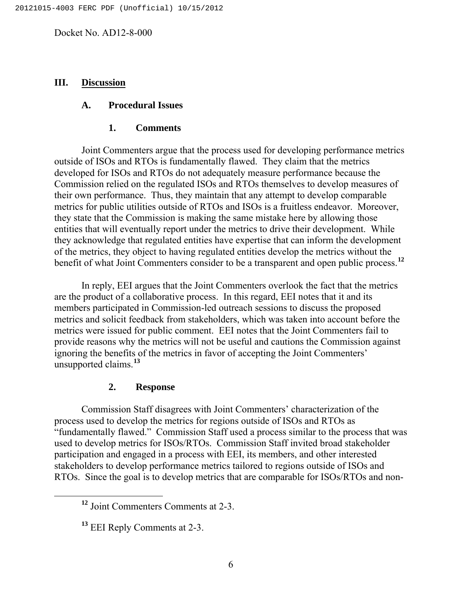#### **III. Discussion**

#### **A. Procedural Issues**

#### **1. Comments**

Joint Commenters argue that the process used for developing performance metrics outside of ISOs and RTOs is fundamentally flawed. They claim that the metrics developed for ISOs and RTOs do not adequately measure performance because the Commission relied on the regulated ISOs and RTOs themselves to develop measures of their own performance. Thus, they maintain that any attempt to develop comparable metrics for public utilities outside of RTOs and ISOs is a fruitless endeavor. Moreover, they state that the Commission is making the same mistake here by allowing those entities that will eventually report under the metrics to drive their development. While they acknowledge that regulated entities have expertise that can inform the development of the metrics, they object to having regulated entities develop the metrics without the benefit of what Joint Commenters consider to be a transparent and open public process.**[12](#page-5-0)**

 In reply, EEI argues that the Joint Commenters overlook the fact that the metrics are the product of a collaborative process. In this regard, EEI notes that it and its members participated in Commission-led outreach sessions to discuss the proposed metrics and solicit feedback from stakeholders, which was taken into account before the metrics were issued for public comment. EEI notes that the Joint Commenters fail to provide reasons why the metrics will not be useful and cautions the Commission against ignoring the benefits of the metrics in favor of accepting the Joint Commenters' unsupported claims.**[13](#page-5-1)**

# **2. Response**

 Commission Staff disagrees with Joint Commenters' characterization of the process used to develop the metrics for regions outside of ISOs and RTOs as "fundamentally flawed." Commission Staff used a process similar to the process that was used to develop metrics for ISOs/RTOs. Commission Staff invited broad stakeholder participation and engaged in a process with EEI, its members, and other interested stakeholders to develop performance metrics tailored to regions outside of ISOs and RTOs. Since the goal is to develop metrics that are comparable for ISOs/RTOs and non-

<span id="page-5-0"></span>**<sup>12</sup>** Joint Commenters Comments at 2-3.

<span id="page-5-1"></span>**<sup>13</sup>** EEI Reply Comments at 2-3.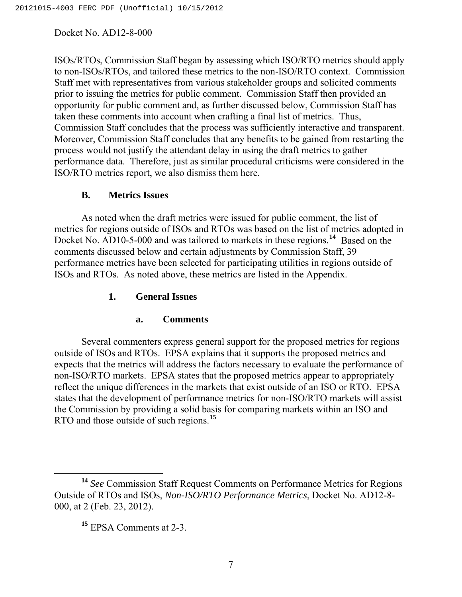ISOs/RTOs, Commission Staff began by assessing which ISO/RTO metrics should apply to non-ISOs/RTOs, and tailored these metrics to the non-ISO/RTO context. Commission Staff met with representatives from various stakeholder groups and solicited comments prior to issuing the metrics for public comment. Commission Staff then provided an opportunity for public comment and, as further discussed below, Commission Staff has taken these comments into account when crafting a final list of metrics. Thus, Commission Staff concludes that the process was sufficiently interactive and transparent. Moreover, Commission Staff concludes that any benefits to be gained from restarting the process would not justify the attendant delay in using the draft metrics to gather performance data. Therefore, just as similar procedural criticisms were considered in the ISO/RTO metrics report, we also dismiss them here.

# **B. Metrics Issues**

 As noted when the draft metrics were issued for public comment, the list of metrics for regions outside of ISOs and RTOs was based on the list of metrics adopted in Docket No. AD10-5-000 and was tailored to markets in these regions.**[14](#page-6-0)** Based on the comments discussed below and certain adjustments by Commission Staff, 39 performance metrics have been selected for participating utilities in regions outside of ISOs and RTOs. As noted above, these metrics are listed in the Appendix.

# **1. General Issues**

# **a. Comments**

Several commenters express general support for the proposed metrics for regions outside of ISOs and RTOs. EPSA explains that it supports the proposed metrics and expects that the metrics will address the factors necessary to evaluate the performance of non-ISO/RTO markets. EPSA states that the proposed metrics appear to appropriately reflect the unique differences in the markets that exist outside of an ISO or RTO. EPSA states that the development of performance metrics for non-ISO/RTO markets will assist the Commission by providing a solid basis for comparing markets within an ISO and RTO and those outside of such regions.**[15](#page-6-1)**

<span id="page-6-1"></span><span id="page-6-0"></span>**<sup>14</sup>** *See* Commission Staff Request Comments on Performance Metrics for Regions Outside of RTOs and ISOs, *Non-ISO/RTO Performance Metrics*, Docket No. AD12-8- 000, at 2 (Feb. 23, 2012).

**<sup>15</sup>** EPSA Comments at 2-3.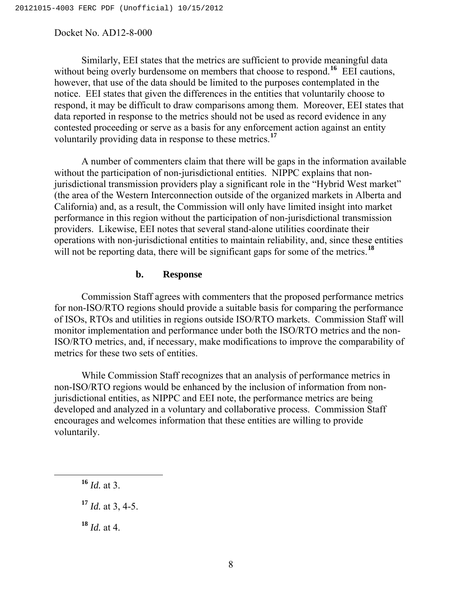Similarly, EEI states that the metrics are sufficient to provide meaningful data without being overly burdensome on members that choose to respond.<sup>[16](#page-7-0)</sup> EEI cautions, however, that use of the data should be limited to the purposes contemplated in the notice. EEI states that given the differences in the entities that voluntarily choose to respond, it may be difficult to draw comparisons among them. Moreover, EEI states that data reported in response to the metrics should not be used as record evidence in any contested proceeding or serve as a basis for any enforcement action against an entity voluntarily providing data in response to these metrics.**[17](#page-7-1)**

A number of commenters claim that there will be gaps in the information available without the participation of non-jurisdictional entities. NIPPC explains that nonjurisdictional transmission providers play a significant role in the "Hybrid West market" (the area of the Western Interconnection outside of the organized markets in Alberta and California) and, as a result, the Commission will only have limited insight into market performance in this region without the participation of non-jurisdictional transmission providers. Likewise, EEI notes that several stand-alone utilities coordinate their operations with non-jurisdictional entities to maintain reliability, and, since these entities will not be reporting data, there will be significant gaps for some of the metrics.<sup>[18](#page-7-2)</sup>

#### **b. Response**

Commission Staff agrees with commenters that the proposed performance metrics for non-ISO/RTO regions should provide a suitable basis for comparing the performance of ISOs, RTOs and utilities in regions outside ISO/RTO markets. Commission Staff will monitor implementation and performance under both the ISO/RTO metrics and the non-ISO/RTO metrics, and, if necessary, make modifications to improve the comparability of metrics for these two sets of entities.

While Commission Staff recognizes that an analysis of performance metrics in non-ISO/RTO regions would be enhanced by the inclusion of information from nonjurisdictional entities, as NIPPC and EEI note, the performance metrics are being developed and analyzed in a voluntary and collaborative process. Commission Staff encourages and welcomes information that these entities are willing to provide voluntarily.

<span id="page-7-0"></span>**<sup>16</sup>** *Id.* at 3.

<span id="page-7-1"></span>**<sup>17</sup>** *Id.* at 3, 4-5.

<span id="page-7-2"></span>**<sup>18</sup>** *Id.* at 4.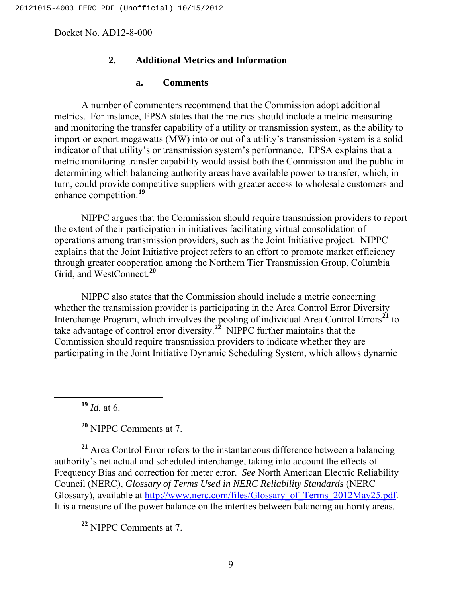### **2. Additional Metrics and Information**

#### **a. Comments**

A number of commenters recommend that the Commission adopt additional metrics. For instance, EPSA states that the metrics should include a metric measuring and monitoring the transfer capability of a utility or transmission system, as the ability to import or export megawatts (MW) into or out of a utility's transmission system is a solid indicator of that utility's or transmission system's performance. EPSA explains that a metric monitoring transfer capability would assist both the Commission and the public in determining which balancing authority areas have available power to transfer, which, in turn, could provide competitive suppliers with greater access to wholesale customers and enhance competition.**[19](#page-8-0)**

NIPPC argues that the Commission should require transmission providers to report the extent of their participation in initiatives facilitating virtual consolidation of operations among transmission providers, such as the Joint Initiative project. NIPPC explains that the Joint Initiative project refers to an effort to promote market efficiency through greater cooperation among the Northern Tier Transmission Group, Columbia Grid, and WestConnect.**[20](#page-8-1)**

 NIPPC also states that the Commission should include a metric concerning whether the transmission provider is participating in the Area Control Error Diversity Interchange Program, which involves the pooling of individual Area Control Errors**[21](#page-8-2)** to take advantage of control error diversity.**[22](#page-8-3)** NIPPC further maintains that the Commission should require transmission providers to indicate whether they are participating in the Joint Initiative Dynamic Scheduling System, which allows dynamic

**<sup>19</sup>** *Id.* at 6.

**<sup>20</sup>** NIPPC Comments at 7.

<span id="page-8-2"></span><span id="page-8-1"></span><span id="page-8-0"></span>**<sup>21</sup>** Area Control Error refers to the instantaneous difference between a balancing authority's net actual and scheduled interchange, taking into account the effects of Frequency Bias and correction for meter error. *See* North American Electric Reliability Council (NERC), *Glossary of Terms Used in NERC Reliability Standards* (NERC Glossary), available at [http://www.nerc.com/files/Glossary\\_of\\_Terms\\_2012May25.pdf](http://www.nerc.com/files/Glossary_of_Terms_2012May25.pdf). It is a measure of the power balance on the interties between balancing authority areas.

<span id="page-8-3"></span>**<sup>22</sup>** NIPPC Comments at 7.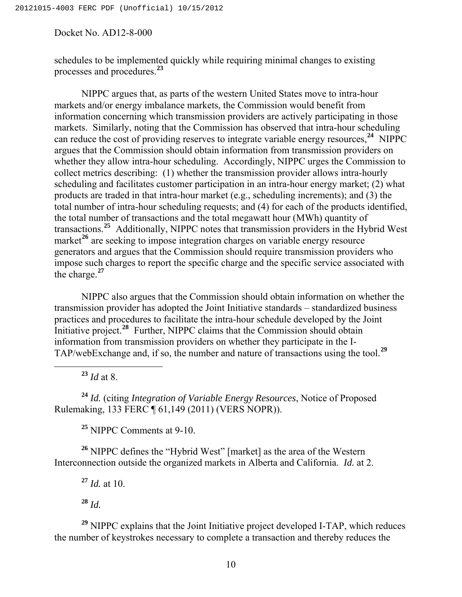schedules to be implemented quickly while requiring minimal changes to existing processes and procedures.<sup>23</sup>

NIPPC argues that, as parts of the western United States move to intra-hour markets and/or energy imbalance markets, the Commission would benefit from information concerning which transmission providers are actively participating in those markets. Similarly, noting that the Commission has observed that intra-hour scheduling can reduce the cost of providing reserves to integrate variable energy resources,**[24](#page-9-0)** NIPPC argues that the Commission should obtain information from transmission providers on whether they allow intra-hour scheduling. Accordingly, NIPPC urges the Commission to collect metrics describing: (1) whether the transmission provider allows intra-hourly scheduling and facilitates customer participation in an intra-hour energy market; (2) what products are traded in that intra-hour market (e.g., scheduling increments); and (3) the total number of intra-hour scheduling requests; and (4) for each of the products identified, the total number of transactions and the total megawatt hour (MWh) quantity of transactions.**[25](#page-9-1)** Additionally, NIPPC notes that transmission providers in the Hybrid West market<sup>[26](#page-9-2)</sup> are seeking to impose integration charges on variable energy resource generators and argues that the Commission should require transmission providers who impose such charges to report the specific charge and the specific service associated with the charge.**[27](#page-9-3)**

NIPPC also argues that the Commission should obtain information on whether the transmission provider has adopted the Joint Initiative standards – standardized business practices and procedures to facilitate the intra-hour schedule developed by the Joint Initiative project.**[28](#page-9-4)** Further, NIPPC claims that the Commission should obtain information from transmission providers on whether they participate in the I-TAP/webExchange and, if so, the number and nature of transactions using the tool.**[29](#page-9-5)**

 $^{23}$  *Id* at 8.

<span id="page-9-0"></span>**<sup>24</sup>** *Id.* (citing *Integration of Variable Energy Resources*, Notice of Proposed Rulemaking, 133 FERC ¶ 61,149 (2011) (VERS NOPR)).

**<sup>25</sup>** NIPPC Comments at 9-10.

<span id="page-9-3"></span><span id="page-9-2"></span><span id="page-9-1"></span>**<sup>26</sup>** NIPPC defines the "Hybrid West" [market] as the area of the Western Interconnection outside the organized markets in Alberta and California. *Id.* at 2.

**<sup>27</sup>** *Id.* at 10.

**<sup>28</sup>** *Id.*

<span id="page-9-5"></span><span id="page-9-4"></span>**<sup>29</sup>** NIPPC explains that the Joint Initiative project developed I-TAP, which reduces the number of keystrokes necessary to complete a transaction and thereby reduces the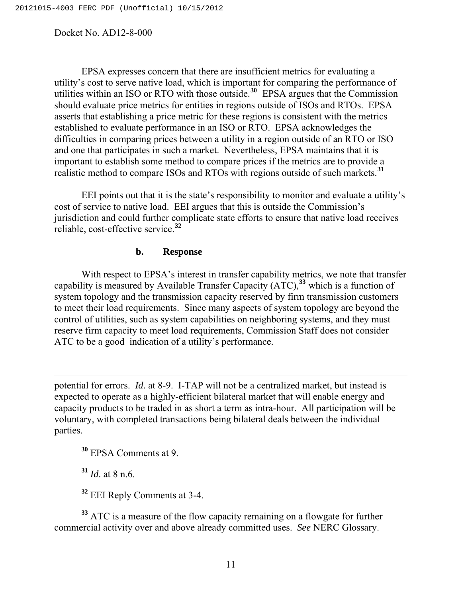EPSA expresses concern that there are insufficient metrics for evaluating a utility's cost to serve native load, which is important for comparing the performance of utilities within an ISO or RTO with those outside.**[30](#page-10-0)** EPSA argues that the Commission should evaluate price metrics for entities in regions outside of ISOs and RTOs. EPSA asserts that establishing a price metric for these regions is consistent with the metrics established to evaluate performance in an ISO or RTO. EPSA acknowledges the difficulties in comparing prices between a utility in a region outside of an RTO or ISO and one that participates in such a market. Nevertheless, EPSA maintains that it is important to establish some method to compare prices if the metrics are to provide a realistic method to compare ISOs and RTOs with regions outside of such markets.**[31](#page-10-1)**

 EEI points out that it is the state's responsibility to monitor and evaluate a utility's cost of service to native load. EEI argues that this is outside the Commission's jurisdiction and could further complicate state efforts to ensure that native load receives reliable, cost-effective service.**[32](#page-10-2)**

#### **b. Response**

With respect to EPSA's interest in transfer capability metrics, we note that transfer capability is measured by Available Transfer Capacity (ATC),**[33](#page-10-3)** which is a function of system topology and the transmission capacity reserved by firm transmission customers to meet their load requirements. Since many aspects of system topology are beyond the control of utilities, such as system capabilities on neighboring systems, and they must reserve firm capacity to meet load requirements, Commission Staff does not consider ATC to be a good indication of a utility's performance.

potential for errors. *Id.* at 8-9. I-TAP will not be a centralized market, but instead is expected to operate as a highly-efficient bilateral market that will enable energy and capacity products to be traded in as short a term as intra-hour. All participation will be voluntary, with completed transactions being bilateral deals between the individual parties.

<span id="page-10-0"></span>**<sup>30</sup>** EPSA Comments at 9.

**<sup>31</sup>** *Id*. at 8 n.6.

 $\overline{a}$ 

**<sup>32</sup>** EEI Reply Comments at 3-4.

<span id="page-10-3"></span><span id="page-10-2"></span><span id="page-10-1"></span>**<sup>33</sup>** ATC is a measure of the flow capacity remaining on a flowgate for further commercial activity over and above already committed uses. *See* NERC Glossary.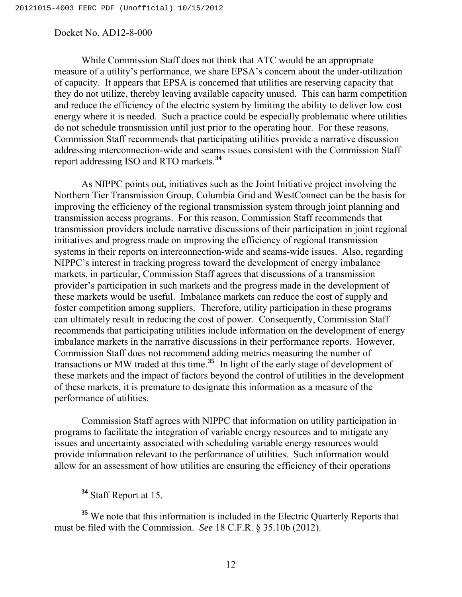While Commission Staff does not think that ATC would be an appropriate measure of a utility's performance, we share EPSA's concern about the under-utilization of capacity. It appears that EPSA is concerned that utilities are reserving capacity that they do not utilize, thereby leaving available capacity unused. This can harm competition and reduce the efficiency of the electric system by limiting the ability to deliver low cost energy where it is needed. Such a practice could be especially problematic where utilities do not schedule transmission until just prior to the operating hour. For these reasons, Commission Staff recommends that participating utilities provide a narrative discussion addressing interconnection-wide and seams issues consistent with the Commission Staff report addressing ISO and RTO markets.**[34](#page-11-0)**

As NIPPC points out, initiatives such as the Joint Initiative project involving the Northern Tier Transmission Group, Columbia Grid and WestConnect can be the basis for improving the efficiency of the regional transmission system through joint planning and transmission access programs. For this reason, Commission Staff recommends that transmission providers include narrative discussions of their participation in joint regional initiatives and progress made on improving the efficiency of regional transmission systems in their reports on interconnection-wide and seams-wide issues. Also, regarding NIPPC's interest in tracking progress toward the development of energy imbalance markets, in particular, Commission Staff agrees that discussions of a transmission provider's participation in such markets and the progress made in the development of these markets would be useful. Imbalance markets can reduce the cost of supply and foster competition among suppliers. Therefore, utility participation in these programs can ultimately result in reducing the cost of power. Consequently, Commission Staff recommends that participating utilities include information on the development of energy imbalance markets in the narrative discussions in their performance reports. However, Commission Staff does not recommend adding metrics measuring the number of transactions or MW traded at this time.**[35](#page-11-1)** In light of the early stage of development of these markets and the impact of factors beyond the control of utilities in the development of these markets, it is premature to designate this information as a measure of the performance of utilities.

 Commission Staff agrees with NIPPC that information on utility participation in programs to facilitate the integration of variable energy resources and to mitigate any issues and uncertainty associated with scheduling variable energy resources would provide information relevant to the performance of utilities. Such information would allow for an assessment of how utilities are ensuring the efficiency of their operations

**<sup>34</sup>** Staff Report at 15.

<span id="page-11-1"></span><span id="page-11-0"></span>**<sup>35</sup>** We note that this information is included in the Electric Quarterly Reports that must be filed with the Commission. *See* 18 C.F.R. § 35.10b (2012).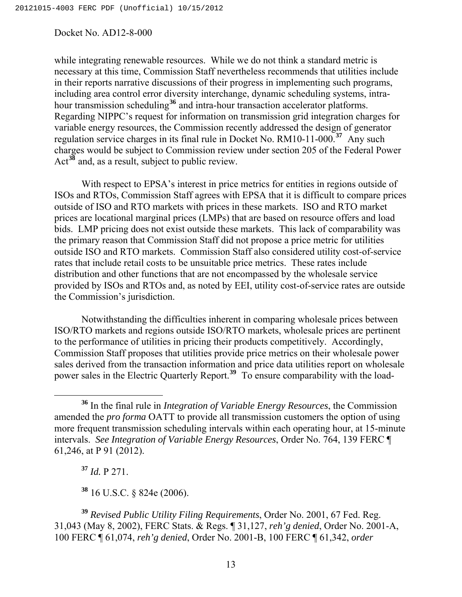while integrating renewable resources. While we do not think a standard metric is necessary at this time, Commission Staff nevertheless recommends that utilities include in their reports narrative discussions of their progress in implementing such programs, including area control error diversity interchange, dynamic scheduling systems, intra-hour transmission scheduling<sup>[36](#page-12-0)</sup> and intra-hour transaction accelerator platforms. Regarding NIPPC's request for information on transmission grid integration charges for variable energy resources, the Commission recently addressed the design of generator regulation service charges in its final rule in Docket No. RM10-11-000.**[37](#page-12-1)** Any such charges would be subject to Commission review under section 205 of the Federal Power Act**[38](#page-12-2)** and, as a result, subject to public review.

With respect to EPSA's interest in price metrics for entities in regions outside of ISOs and RTOs, Commission Staff agrees with EPSA that it is difficult to compare prices outside of ISO and RTO markets with prices in these markets. ISO and RTO market prices are locational marginal prices (LMPs) that are based on resource offers and load bids. LMP pricing does not exist outside these markets. This lack of comparability was the primary reason that Commission Staff did not propose a price metric for utilities outside ISO and RTO markets. Commission Staff also considered utility cost-of-service rates that include retail costs to be unsuitable price metrics. These rates include distribution and other functions that are not encompassed by the wholesale service provided by ISOs and RTOs and, as noted by EEI, utility cost-of-service rates are outside the Commission's jurisdiction.

 Notwithstanding the difficulties inherent in comparing wholesale prices between ISO/RTO markets and regions outside ISO/RTO markets, wholesale prices are pertinent to the performance of utilities in pricing their products competitively. Accordingly, Commission Staff proposes that utilities provide price metrics on their wholesale power sales derived from the transaction information and price data utilities report on wholesale power sales in the Electric Quarterly Report.**[39](#page-12-3)** To ensure comparability with the load-

**<sup>37</sup>** *Id.* P 271.

**<sup>38</sup>** 16 U.S.C. § 824e (2006).

<span id="page-12-3"></span><span id="page-12-2"></span><span id="page-12-1"></span>**<sup>39</sup>** *Revised Public Utility Filing Requirements*, Order No. 2001, 67 Fed. Reg. 31,043 (May 8, 2002), FERC Stats. & Regs. ¶ 31,127, *reh'g denied*, Order No. 2001-A, 100 FERC ¶ 61,074, *reh'g denied*, Order No. 2001-B, 100 FERC ¶ 61,342, *order* 

<span id="page-12-0"></span>**<sup>36</sup>** In the final rule in *Integration of Variable Energy Resources*, the Commission amended the *pro forma* OATT to provide all transmission customers the option of using more frequent transmission scheduling intervals within each operating hour, at 15-minute intervals. *See Integration of Variable Energy Resources*, Order No. 764, 139 FERC ¶ 61,246, at P 91 (2012).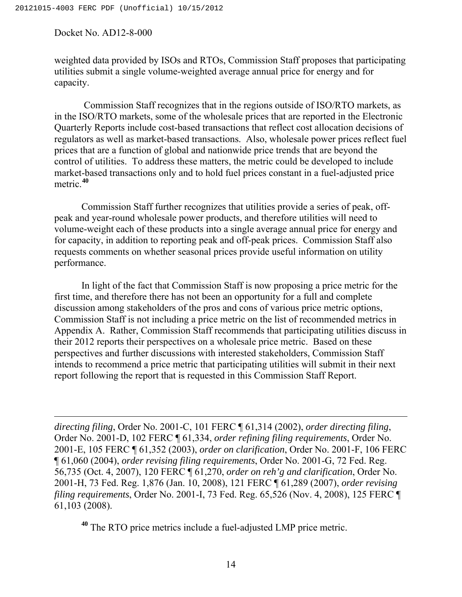$\overline{a}$ 

weighted data provided by ISOs and RTOs, Commission Staff proposes that participating utilities submit a single volume-weighted average annual price for energy and for capacity.

 Commission Staff recognizes that in the regions outside of ISO/RTO markets, as in the ISO/RTO markets, some of the wholesale prices that are reported in the Electronic Quarterly Reports include cost-based transactions that reflect cost allocation decisions of regulators as well as market-based transactions. Also, wholesale power prices reflect fuel prices that are a function of global and nationwide price trends that are beyond the control of utilities. To address these matters, the metric could be developed to include market-based transactions only and to hold fuel prices constant in a fuel-adjusted price metric.**[40](#page-13-0)**

 Commission Staff further recognizes that utilities provide a series of peak, offpeak and year-round wholesale power products, and therefore utilities will need to volume-weight each of these products into a single average annual price for energy and for capacity, in addition to reporting peak and off-peak prices. Commission Staff also requests comments on whether seasonal prices provide useful information on utility performance.

 In light of the fact that Commission Staff is now proposing a price metric for the first time, and therefore there has not been an opportunity for a full and complete discussion among stakeholders of the pros and cons of various price metric options, Commission Staff is not including a price metric on the list of recommended metrics in Appendix A. Rather, Commission Staff recommends that participating utilities discuss in their 2012 reports their perspectives on a wholesale price metric. Based on these perspectives and further discussions with interested stakeholders, Commission Staff intends to recommend a price metric that participating utilities will submit in their next report following the report that is requested in this Commission Staff Report.

*directing filing*, Order No. 2001-C, 101 FERC ¶ 61,314 (2002), *order directing filing*, Order No. 2001-D, 102 FERC ¶ 61,334, *order refining filing requirements*, Order No. 2001-E, 105 FERC ¶ 61,352 (2003), *order on clarification*, Order No. 2001-F, 106 FERC ¶ 61,060 (2004), *order revising filing requirements*, Order No. 2001-G, 72 Fed. Reg. 56,735 (Oct. 4, 2007), 120 FERC ¶ 61,270, *order on reh'g and clarification*, Order No. 2001-H, 73 Fed. Reg. 1,876 (Jan. 10, 2008), 121 FERC ¶ 61,289 (2007), *order revising filing requirements*, Order No. 2001-I, 73 Fed. Reg. 65,526 (Nov. 4, 2008), 125 FERC ¶ 61,103 (2008).

<span id="page-13-0"></span>**<sup>40</sup>** The RTO price metrics include a fuel-adjusted LMP price metric.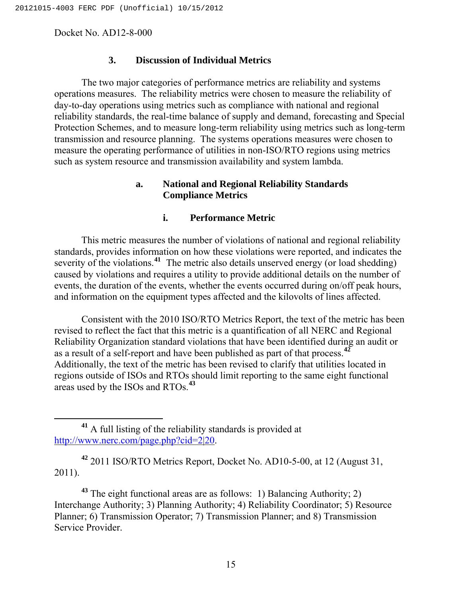#### **3. Discussion of Individual Metrics**

 The two major categories of performance metrics are reliability and systems operations measures. The reliability metrics were chosen to measure the reliability of day-to-day operations using metrics such as compliance with national and regional reliability standards, the real-time balance of supply and demand, forecasting and Special Protection Schemes, and to measure long-term reliability using metrics such as long-term transmission and resource planning. The systems operations measures were chosen to measure the operating performance of utilities in non-ISO/RTO regions using metrics such as system resource and transmission availability and system lambda.

### **a. National and Regional Reliability Standards Compliance Metrics**

#### **i. Performance Metric**

This metric measures the number of violations of national and regional reliability standards, provides information on how these violations were reported, and indicates the severity of the violations.<sup>[41](#page-14-0)</sup> The metric also details unserved energy (or load shedding) caused by violations and requires a utility to provide additional details on the number of events, the duration of the events, whether the events occurred during on/off peak hours, and information on the equipment types affected and the kilovolts of lines affected.

Consistent with the 2010 ISO/RTO Metrics Report, the text of the metric has been revised to reflect the fact that this metric is a quantification of all NERC and Regional Reliability Organization standard violations that have been identified during an audit or as a result of a self-report and have been published as part of that process.**[42](#page-14-1)** Additionally, the text of the metric has been revised to clarify that utilities located in regions outside of ISOs and RTOs should limit reporting to the same eight functional areas used by the ISOs and RTOs.<sup>43</sup>

<span id="page-14-1"></span>**<sup>42</sup>** 2011 ISO/RTO Metrics Report, Docket No. AD10-5-00, at 12 (August 31, 2011).

**<sup>43</sup>** The eight functional areas are as follows: 1) Balancing Authority; 2) Interchange Authority; 3) Planning Authority; 4) Reliability Coordinator; 5) Resource Planner; 6) Transmission Operator; 7) Transmission Planner; and 8) Transmission Service Provider.

<span id="page-14-0"></span>**<sup>41</sup>** A full listing of the reliability standards is provided at <http://www.nerc.com/page.php?cid=2|20>.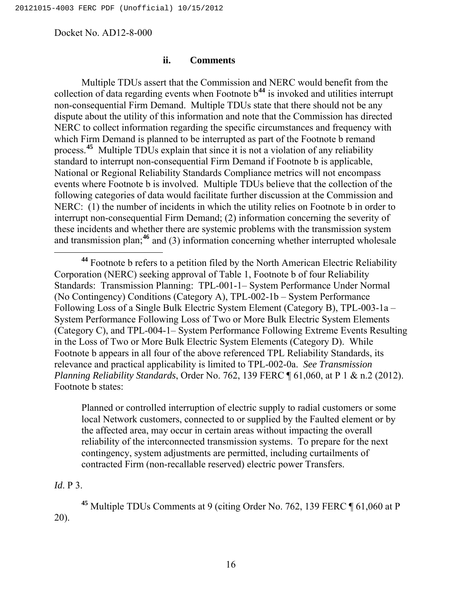#### **ii. Comments**

Multiple TDUs assert that the Commission and NERC would benefit from the collection of data regarding events when Footnote b**[44](#page-15-0)** is invoked and utilities interrupt non-consequential Firm Demand. Multiple TDUs state that there should not be any dispute about the utility of this information and note that the Commission has directed NERC to collect information regarding the specific circumstances and frequency with which Firm Demand is planned to be interrupted as part of the Footnote b remand process.**[45](#page-15-1)** Multiple TDUs explain that since it is not a violation of any reliability standard to interrupt non-consequential Firm Demand if Footnote b is applicable, National or Regional Reliability Standards Compliance metrics will not encompass events where Footnote b is involved. Multiple TDUs believe that the collection of the following categories of data would facilitate further discussion at the Commission and NERC: (1) the number of incidents in which the utility relies on Footnote b in order to interrupt non-consequential Firm Demand; (2) information concerning the severity of these incidents and whether there are systemic problems with the transmission system and transmission plan;**[46](#page-15-2)** and (3) information concerning whether interrupted wholesale

Planned or controlled interruption of electric supply to radial customers or some local Network customers, connected to or supplied by the Faulted element or by the affected area, may occur in certain areas without impacting the overall reliability of the interconnected transmission systems. To prepare for the next contingency, system adjustments are permitted, including curtailments of contracted Firm (non-recallable reserved) electric power Transfers.

# <span id="page-15-2"></span>*Id*. P 3.

<span id="page-15-1"></span>**<sup>45</sup>** Multiple TDUs Comments at 9 (citing Order No. 762, 139 FERC ¶ 61,060 at P 20).

<span id="page-15-0"></span>**<sup>44</sup>** Footnote b refers to a petition filed by the North American Electric Reliability Corporation (NERC) seeking approval of Table 1, Footnote b of four Reliability Standards: Transmission Planning: TPL-001-1– System Performance Under Normal (No Contingency) Conditions (Category A), TPL-002-1b – System Performance Following Loss of a Single Bulk Electric System Element (Category B), TPL-003-1a – System Performance Following Loss of Two or More Bulk Electric System Elements (Category C), and TPL-004-1– System Performance Following Extreme Events Resulting in the Loss of Two or More Bulk Electric System Elements (Category D). While Footnote b appears in all four of the above referenced TPL Reliability Standards, its relevance and practical applicability is limited to TPL-002-0a. *See Transmission Planning Reliability Standards*, Order No. 762, 139 FERC ¶ 61,060, at P 1 & n.2 (2012). Footnote b states: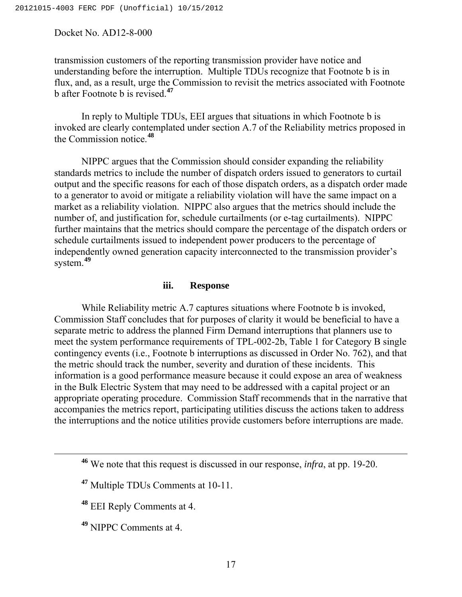transmission customers of the reporting transmission provider have notice and understanding before the interruption. Multiple TDUs recognize that Footnote b is in flux, and, as a result, urge the Commission to revisit the metrics associated with Footnote b after Footnote b is revised.**[47](#page-16-0)** 

In reply to Multiple TDUs, EEI argues that situations in which Footnote b is invoked are clearly contemplated under section A.7 of the Reliability metrics proposed in the Commission notice.**[48](#page-16-1)**

NIPPC argues that the Commission should consider expanding the reliability standards metrics to include the number of dispatch orders issued to generators to curtail output and the specific reasons for each of those dispatch orders, as a dispatch order made to a generator to avoid or mitigate a reliability violation will have the same impact on a market as a reliability violation. NIPPC also argues that the metrics should include the number of, and justification for, schedule curtailments (or e-tag curtailments). NIPPC further maintains that the metrics should compare the percentage of the dispatch orders or schedule curtailments issued to independent power producers to the percentage of independently owned generation capacity interconnected to the transmission provider's system.**[49](#page-16-2)**

#### **iii. Response**

While Reliability metric A.7 captures situations where Footnote b is invoked, Commission Staff concludes that for purposes of clarity it would be beneficial to have a separate metric to address the planned Firm Demand interruptions that planners use to meet the system performance requirements of TPL-002-2b, Table 1 for Category B single contingency events (i.e., Footnote b interruptions as discussed in Order No. 762), and that the metric should track the number, severity and duration of these incidents. This information is a good performance measure because it could expose an area of weakness in the Bulk Electric System that may need to be addressed with a capital project or an appropriate operating procedure. Commission Staff recommends that in the narrative that accompanies the metrics report, participating utilities discuss the actions taken to address the interruptions and the notice utilities provide customers before interruptions are made.

<span id="page-16-1"></span>**<sup>48</sup>** EEI Reply Comments at 4.

<span id="page-16-2"></span>**<sup>49</sup>** NIPPC Comments at 4.

**<sup>46</sup>** We note that this request is discussed in our response, *infra*, at pp. 19-20.

<span id="page-16-0"></span>**<sup>47</sup>** Multiple TDUs Comments at 10-11.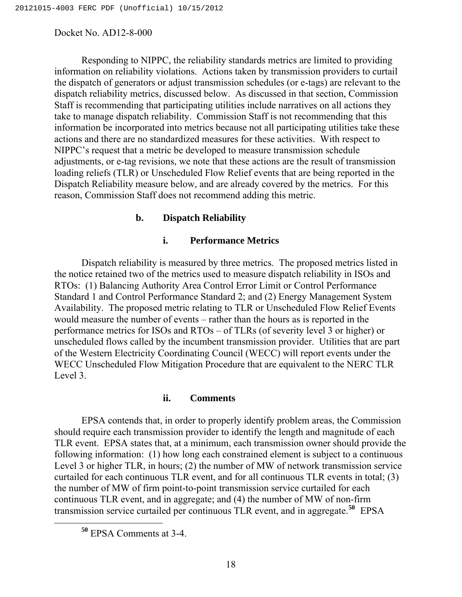Responding to NIPPC, the reliability standards metrics are limited to providing information on reliability violations. Actions taken by transmission providers to curtail the dispatch of generators or adjust transmission schedules (or e-tags) are relevant to the dispatch reliability metrics, discussed below. As discussed in that section, Commission Staff is recommending that participating utilities include narratives on all actions they take to manage dispatch reliability. Commission Staff is not recommending that this information be incorporated into metrics because not all participating utilities take these actions and there are no standardized measures for these activities. With respect to NIPPC's request that a metric be developed to measure transmission schedule adjustments, or e-tag revisions, we note that these actions are the result of transmission loading reliefs (TLR) or Unscheduled Flow Relief events that are being reported in the Dispatch Reliability measure below, and are already covered by the metrics. For this reason, Commission Staff does not recommend adding this metric.

#### **b. Dispatch Reliability**

#### **i. Performance Metrics**

 Dispatch reliability is measured by three metrics. The proposed metrics listed in the notice retained two of the metrics used to measure dispatch reliability in ISOs and RTOs: (1) Balancing Authority Area Control Error Limit or Control Performance Standard 1 and Control Performance Standard 2; and (2) Energy Management System Availability. The proposed metric relating to TLR or Unscheduled Flow Relief Events would measure the number of events – rather than the hours as is reported in the performance metrics for ISOs and RTOs – of TLRs (of severity level 3 or higher) or unscheduled flows called by the incumbent transmission provider. Utilities that are part of the Western Electricity Coordinating Council (WECC) will report events under the WECC Unscheduled Flow Mitigation Procedure that are equivalent to the NERC TLR Level 3.

#### **ii. Comments**

 EPSA contends that, in order to properly identify problem areas, the Commission should require each transmission provider to identify the length and magnitude of each TLR event. EPSA states that, at a minimum, each transmission owner should provide the following information: (1) how long each constrained element is subject to a continuous Level 3 or higher TLR, in hours; (2) the number of MW of network transmission service curtailed for each continuous TLR event, and for all continuous TLR events in total; (3) the number of MW of firm point-to-point transmission service curtailed for each continuous TLR event, and in aggregate; and (4) the number of MW of non-firm transmission service curtailed per continuous TLR event, and in aggregate.**[50](#page-17-0)** EPSA

<span id="page-17-0"></span>**<sup>50</sup>** EPSA Comments at 3-4.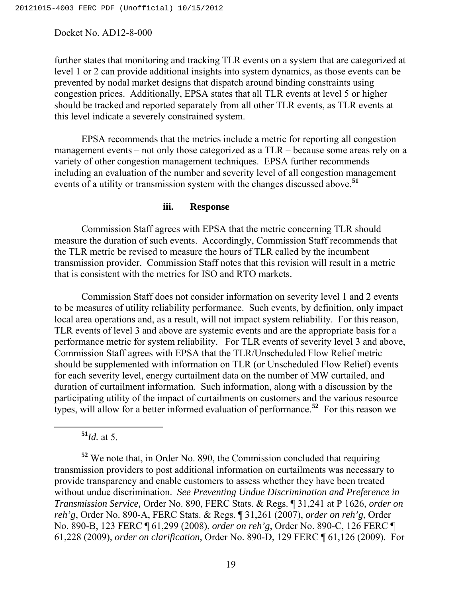further states that monitoring and tracking TLR events on a system that are categorized at level 1 or 2 can provide additional insights into system dynamics, as those events can be prevented by nodal market designs that dispatch around binding constraints using congestion prices. Additionally, EPSA states that all TLR events at level 5 or higher should be tracked and reported separately from all other TLR events, as TLR events at this level indicate a severely constrained system.

 EPSA recommends that the metrics include a metric for reporting all congestion management events – not only those categorized as a TLR – because some areas rely on a variety of other congestion management techniques. EPSA further recommends including an evaluation of the number and severity level of all congestion management events of a utility or transmission system with the changes discussed above.**[51](#page-18-0)**

#### **iii. Response**

Commission Staff agrees with EPSA that the metric concerning TLR should measure the duration of such events. Accordingly, Commission Staff recommends that the TLR metric be revised to measure the hours of TLR called by the incumbent transmission provider. Commission Staff notes that this revision will result in a metric that is consistent with the metrics for ISO and RTO markets.

Commission Staff does not consider information on severity level 1 and 2 events to be measures of utility reliability performance. Such events, by definition, only impact local area operations and, as a result, will not impact system reliability. For this reason, TLR events of level 3 and above are systemic events and are the appropriate basis for a performance metric for system reliability. For TLR events of severity level 3 and above, Commission Staff agrees with EPSA that the TLR/Unscheduled Flow Relief metric should be supplemented with information on TLR (or Unscheduled Flow Relief) events for each severity level, energy curtailment data on the number of MW curtailed, and duration of curtailment information. Such information, along with a discussion by the participating utility of the impact of curtailments on customers and the various resource types, will allow for a better informed evaluation of performance.**[52](#page-18-1)** For this reason we

**<sup>51</sup>***Id.* at 5.

<span id="page-18-1"></span><span id="page-18-0"></span>**<sup>52</sup>** We note that, in Order No. 890, the Commission concluded that requiring transmission providers to post additional information on curtailments was necessary to provide transparency and enable customers to assess whether they have been treated without undue discrimination. *See Preventing Undue Discrimination and Preference in Transmission Service,* Order No. 890, FERC Stats. & Regs. ¶ 31,241 at P 1626, *order on reh'g*, Order No. 890-A, FERC Stats. & Regs. ¶ 31,261 (2007), *order on reh'g*, Order No. 890-B, 123 FERC ¶ 61,299 (2008), *order on reh'g*, Order No. 890-C, 126 FERC ¶ 61,228 (2009), *order on clarification*, Order No. 890-D, 129 FERC ¶ 61,126 (2009). For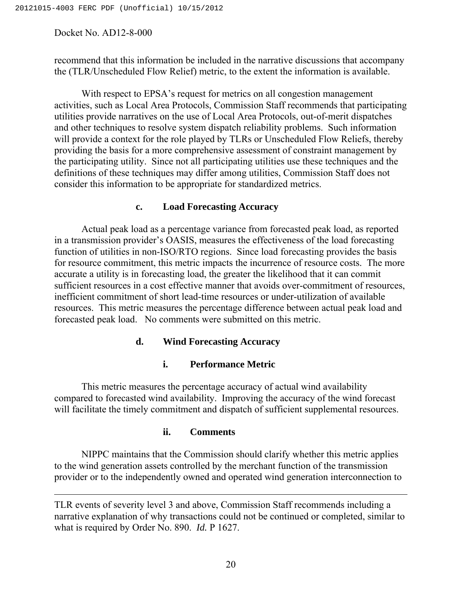$\overline{a}$ 

recommend that this information be included in the narrative discussions that accompany the (TLR/Unscheduled Flow Relief) metric, to the extent the information is available.

 With respect to EPSA's request for metrics on all congestion management activities, such as Local Area Protocols, Commission Staff recommends that participating utilities provide narratives on the use of Local Area Protocols, out-of-merit dispatches and other techniques to resolve system dispatch reliability problems. Such information will provide a context for the role played by TLRs or Unscheduled Flow Reliefs, thereby providing the basis for a more comprehensive assessment of constraint management by the participating utility. Since not all participating utilities use these techniques and the definitions of these techniques may differ among utilities, Commission Staff does not consider this information to be appropriate for standardized metrics.

# **c. Load Forecasting Accuracy**

Actual peak load as a percentage variance from forecasted peak load, as reported in a transmission provider's OASIS, measures the effectiveness of the load forecasting function of utilities in non-ISO/RTO regions. Since load forecasting provides the basis for resource commitment, this metric impacts the incurrence of resource costs. The more accurate a utility is in forecasting load, the greater the likelihood that it can commit sufficient resources in a cost effective manner that avoids over-commitment of resources, inefficient commitment of short lead-time resources or under-utilization of available resources. This metric measures the percentage difference between actual peak load and forecasted peak load. No comments were submitted on this metric.

# **d. Wind Forecasting Accuracy**

# **i. Performance Metric**

 This metric measures the percentage accuracy of actual wind availability compared to forecasted wind availability. Improving the accuracy of the wind forecast will facilitate the timely commitment and dispatch of sufficient supplemental resources.

# **ii. Comments**

NIPPC maintains that the Commission should clarify whether this metric applies to the wind generation assets controlled by the merchant function of the transmission provider or to the independently owned and operated wind generation interconnection to

TLR events of severity level 3 and above, Commission Staff recommends including a narrative explanation of why transactions could not be continued or completed, similar to what is required by Order No. 890. *Id.* P 1627.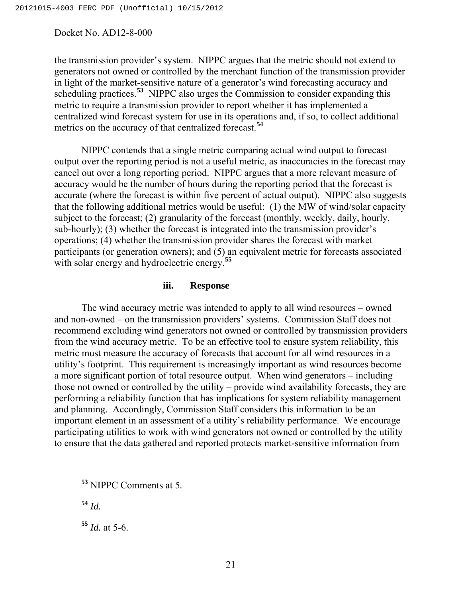the transmission provider's system. NIPPC argues that the metric should not extend to generators not owned or controlled by the merchant function of the transmission provider in light of the market-sensitive nature of a generator's wind forecasting accuracy and scheduling practices.**[53](#page-20-0)** NIPPC also urges the Commission to consider expanding this metric to require a transmission provider to report whether it has implemented a centralized wind forecast system for use in its operations and, if so, to collect additional metrics on the accuracy of that centralized forecast.**[54](#page-20-1)**

 NIPPC contends that a single metric comparing actual wind output to forecast output over the reporting period is not a useful metric, as inaccuracies in the forecast may cancel out over a long reporting period. NIPPC argues that a more relevant measure of accuracy would be the number of hours during the reporting period that the forecast is accurate (where the forecast is within five percent of actual output). NIPPC also suggests that the following additional metrics would be useful: (1) the MW of wind/solar capacity subject to the forecast; (2) granularity of the forecast (monthly, weekly, daily, hourly, sub-hourly); (3) whether the forecast is integrated into the transmission provider's operations; (4) whether the transmission provider shares the forecast with market participants (or generation owners); and (5) an equivalent metric for forecasts associated with solar energy and hydroelectric energy.**[55](#page-20-2)**

#### **iii. Response**

The wind accuracy metric was intended to apply to all wind resources – owned and non-owned – on the transmission providers' systems. Commission Staff does not recommend excluding wind generators not owned or controlled by transmission providers from the wind accuracy metric. To be an effective tool to ensure system reliability, this metric must measure the accuracy of forecasts that account for all wind resources in a utility's footprint. This requirement is increasingly important as wind resources become a more significant portion of total resource output. When wind generators – including those not owned or controlled by the utility – provide wind availability forecasts, they are performing a reliability function that has implications for system reliability management and planning. Accordingly, Commission Staff considers this information to be an important element in an assessment of a utility's reliability performance. We encourage participating utilities to work with wind generators not owned or controlled by the utility to ensure that the data gathered and reported protects market-sensitive information from

<span id="page-20-1"></span>**<sup>54</sup>** *Id.*

<span id="page-20-2"></span>**<sup>55</sup>** *Id.* at 5-6.

<span id="page-20-0"></span>**<sup>53</sup>** NIPPC Comments at 5*.*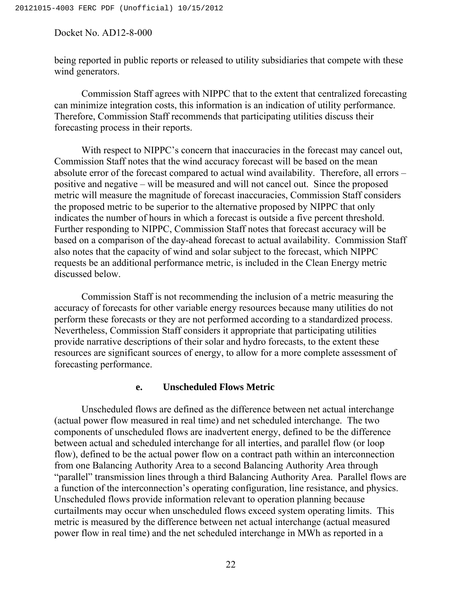being reported in public reports or released to utility subsidiaries that compete with these wind generators.

 Commission Staff agrees with NIPPC that to the extent that centralized forecasting can minimize integration costs, this information is an indication of utility performance. Therefore, Commission Staff recommends that participating utilities discuss their forecasting process in their reports.

With respect to NIPPC's concern that inaccuracies in the forecast may cancel out, Commission Staff notes that the wind accuracy forecast will be based on the mean absolute error of the forecast compared to actual wind availability. Therefore, all errors – positive and negative – will be measured and will not cancel out. Since the proposed metric will measure the magnitude of forecast inaccuracies, Commission Staff considers the proposed metric to be superior to the alternative proposed by NIPPC that only indicates the number of hours in which a forecast is outside a five percent threshold. Further responding to NIPPC, Commission Staff notes that forecast accuracy will be based on a comparison of the day-ahead forecast to actual availability. Commission Staff also notes that the capacity of wind and solar subject to the forecast, which NIPPC requests be an additional performance metric, is included in the Clean Energy metric discussed below.

 Commission Staff is not recommending the inclusion of a metric measuring the accuracy of forecasts for other variable energy resources because many utilities do not perform these forecasts or they are not performed according to a standardized process. Nevertheless, Commission Staff considers it appropriate that participating utilities provide narrative descriptions of their solar and hydro forecasts, to the extent these resources are significant sources of energy, to allow for a more complete assessment of forecasting performance.

#### **e. Unscheduled Flows Metric**

Unscheduled flows are defined as the difference between net actual interchange (actual power flow measured in real time) and net scheduled interchange. The two components of unscheduled flows are inadvertent energy, defined to be the difference between actual and scheduled interchange for all interties, and parallel flow (or loop flow), defined to be the actual power flow on a contract path within an interconnection from one Balancing Authority Area to a second Balancing Authority Area through "parallel" transmission lines through a third Balancing Authority Area. Parallel flows are a function of the interconnection's operating configuration, line resistance, and physics. Unscheduled flows provide information relevant to operation planning because curtailments may occur when unscheduled flows exceed system operating limits. This metric is measured by the difference between net actual interchange (actual measured power flow in real time) and the net scheduled interchange in MWh as reported in a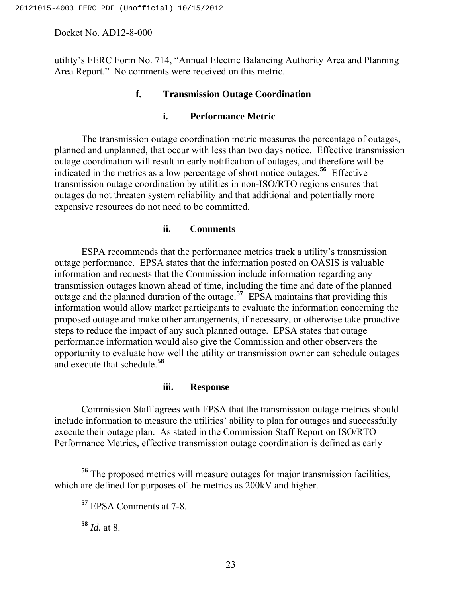utility's FERC Form No. 714, "Annual Electric Balancing Authority Area and Planning Area Report." No comments were received on this metric.

# **f. Transmission Outage Coordination**

# **i. Performance Metric**

The transmission outage coordination metric measures the percentage of outages, planned and unplanned, that occur with less than two days notice. Effective transmission outage coordination will result in early notification of outages, and therefore will be indicated in the metrics as a low percentage of short notice outages.**[56](#page-22-0)** Effective transmission outage coordination by utilities in non-ISO/RTO regions ensures that outages do not threaten system reliability and that additional and potentially more expensive resources do not need to be committed.

# **ii. Comments**

ESPA recommends that the performance metrics track a utility's transmission outage performance. EPSA states that the information posted on OASIS is valuable information and requests that the Commission include information regarding any transmission outages known ahead of time, including the time and date of the planned outage and the planned duration of the outage.**[57](#page-22-1)** EPSA maintains that providing this information would allow market participants to evaluate the information concerning the proposed outage and make other arrangements, if necessary, or otherwise take proactive steps to reduce the impact of any such planned outage. EPSA states that outage performance information would also give the Commission and other observers the opportunity to evaluate how well the utility or transmission owner can schedule outages and execute that schedule.**[58](#page-22-2)**

# **iii. Response**

Commission Staff agrees with EPSA that the transmission outage metrics should include information to measure the utilities' ability to plan for outages and successfully execute their outage plan. As stated in the Commission Staff Report on ISO/RTO Performance Metrics, effective transmission outage coordination is defined as early

**<sup>58</sup>** *Id.* at 8.

<span id="page-22-2"></span><span id="page-22-1"></span><span id="page-22-0"></span>**<sup>56</sup>** The proposed metrics will measure outages for major transmission facilities, which are defined for purposes of the metrics as 200kV and higher.

**<sup>57</sup>** EPSA Comments at 7-8.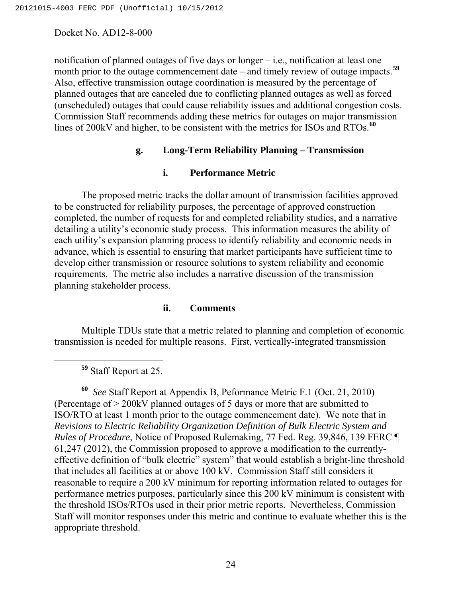notification of planned outages of five days or longer – i.e., notification at least one month prior to the outage commencement date – and timely review of outage impacts.<sup>[59](#page-23-0)</sup> Also, effective transmission outage coordination is measured by the percentage of planned outages that are canceled due to conflicting planned outages as well as forced (unscheduled) outages that could cause reliability issues and additional congestion costs. Commission Staff recommends adding these metrics for outages on major transmission lines of 200kV and higher, to be consistent with the metrics for ISOs and RTOs.**[60](#page-23-1)**

# **g. Long-Term Reliability Planning – Transmission**

#### **i. Performance Metric**

 The proposed metric tracks the dollar amount of transmission facilities approved to be constructed for reliability purposes, the percentage of approved construction completed, the number of requests for and completed reliability studies, and a narrative detailing a utility's economic study process. This information measures the ability of each utility's expansion planning process to identify reliability and economic needs in advance, which is essential to ensuring that market participants have sufficient time to develop either transmission or resource solutions to system reliability and economic requirements. The metric also includes a narrative discussion of the transmission planning stakeholder process.

#### **ii. Comments**

Multiple TDUs state that a metric related to planning and completion of economic transmission is needed for multiple reasons. First, vertically-integrated transmission

**<sup>59</sup>** Staff Report at 25.

<span id="page-23-1"></span><span id="page-23-0"></span>**<sup>60</sup>** *See* Staff Report at Appendix B, Peformance Metric F.1 (Oct. 21, 2010) (Percentage of > 200kV planned outages of 5 days or more that are submitted to ISO/RTO at least 1 month prior to the outage commencement date). We note that in *Revisions to Electric Reliability Organization Definition of Bulk Electric System and Rules of Procedure*, Notice of Proposed Rulemaking, 77 Fed. Reg. 39,846, 139 FERC ¶ 61,247 (2012), the Commission proposed to approve a modification to the currentlyeffective definition of "bulk electric" system" that would establish a bright-line threshold that includes all facilities at or above 100 kV. Commission Staff still considers it reasonable to require a 200 kV minimum for reporting information related to outages for performance metrics purposes, particularly since this 200 kV minimum is consistent with the threshold ISOs/RTOs used in their prior metric reports. Nevertheless, Commission Staff will monitor responses under this metric and continue to evaluate whether this is the appropriate threshold.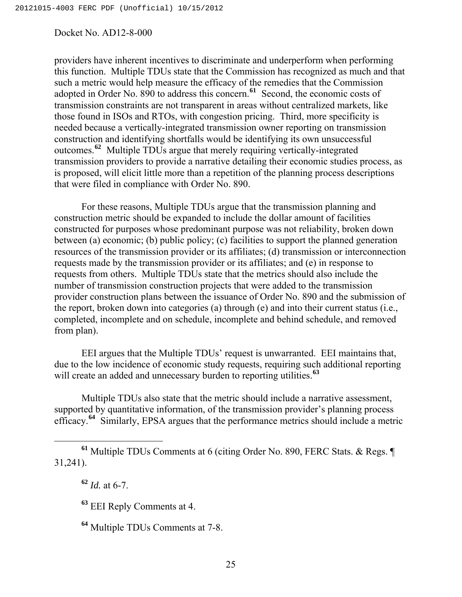providers have inherent incentives to discriminate and underperform when performing this function. Multiple TDUs state that the Commission has recognized as much and that such a metric would help measure the efficacy of the remedies that the Commission adopted in Order No. 890 to address this concern.**[61](#page-24-0)** Second, the economic costs of transmission constraints are not transparent in areas without centralized markets, like those found in ISOs and RTOs, with congestion pricing. Third, more specificity is needed because a vertically-integrated transmission owner reporting on transmission construction and identifying shortfalls would be identifying its own unsuccessful outcomes.**[62](#page-24-1)** Multiple TDUs argue that merely requiring vertically-integrated transmission providers to provide a narrative detailing their economic studies process, as is proposed, will elicit little more than a repetition of the planning process descriptions that were filed in compliance with Order No. 890.

 For these reasons, Multiple TDUs argue that the transmission planning and construction metric should be expanded to include the dollar amount of facilities constructed for purposes whose predominant purpose was not reliability, broken down between (a) economic; (b) public policy; (c) facilities to support the planned generation resources of the transmission provider or its affiliates; (d) transmission or interconnection requests made by the transmission provider or its affiliates; and (e) in response to requests from others. Multiple TDUs state that the metrics should also include the number of transmission construction projects that were added to the transmission provider construction plans between the issuance of Order No. 890 and the submission of the report, broken down into categories (a) through (e) and into their current status (i.e., completed, incomplete and on schedule, incomplete and behind schedule, and removed from plan).

 EEI argues that the Multiple TDUs' request is unwarranted. EEI maintains that, due to the low incidence of economic study requests, requiring such additional reporting will create an added and unnecessary burden to reporting utilities.<sup>[63](#page-24-2)</sup>

 Multiple TDUs also state that the metric should include a narrative assessment, supported by quantitative information, of the transmission provider's planning process efficacy.**[64](#page-24-3)** Similarly, EPSA argues that the performance metrics should include a metric

<span id="page-24-2"></span><span id="page-24-1"></span><span id="page-24-0"></span>**<sup>61</sup>** Multiple TDUs Comments at 6 (citing Order No. 890, FERC Stats. & Regs. ¶ 31,241).

**<sup>62</sup>** *Id.* at 6-7.

**<sup>63</sup>** EEI Reply Comments at 4.

<span id="page-24-3"></span>**<sup>64</sup>** Multiple TDUs Comments at 7-8.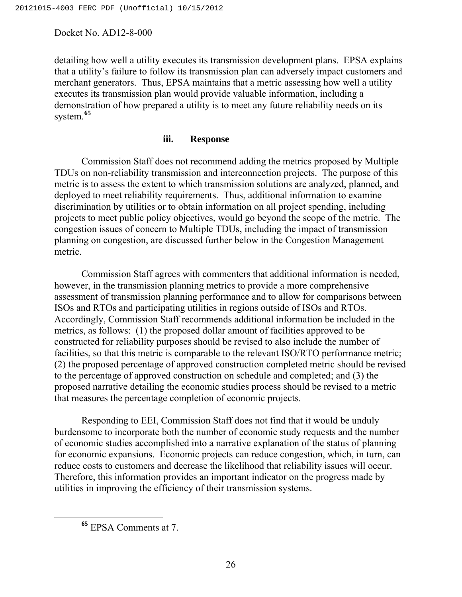detailing how well a utility executes its transmission development plans. EPSA explains that a utility's failure to follow its transmission plan can adversely impact customers and merchant generators. Thus, EPSA maintains that a metric assessing how well a utility executes its transmission plan would provide valuable information, including a demonstration of how prepared a utility is to meet any future reliability needs on its system.**[65](#page-25-0)**

#### **iii. Response**

Commission Staff does not recommend adding the metrics proposed by Multiple TDUs on non-reliability transmission and interconnection projects. The purpose of this metric is to assess the extent to which transmission solutions are analyzed, planned, and deployed to meet reliability requirements. Thus, additional information to examine discrimination by utilities or to obtain information on all project spending, including projects to meet public policy objectives, would go beyond the scope of the metric. The congestion issues of concern to Multiple TDUs, including the impact of transmission planning on congestion, are discussed further below in the Congestion Management metric.

Commission Staff agrees with commenters that additional information is needed, however, in the transmission planning metrics to provide a more comprehensive assessment of transmission planning performance and to allow for comparisons between ISOs and RTOs and participating utilities in regions outside of ISOs and RTOs. Accordingly, Commission Staff recommends additional information be included in the metrics, as follows: (1) the proposed dollar amount of facilities approved to be constructed for reliability purposes should be revised to also include the number of facilities, so that this metric is comparable to the relevant ISO/RTO performance metric; (2) the proposed percentage of approved construction completed metric should be revised to the percentage of approved construction on schedule and completed; and (3) the proposed narrative detailing the economic studies process should be revised to a metric that measures the percentage completion of economic projects.

Responding to EEI, Commission Staff does not find that it would be unduly burdensome to incorporate both the number of economic study requests and the number of economic studies accomplished into a narrative explanation of the status of planning for economic expansions. Economic projects can reduce congestion, which, in turn, can reduce costs to customers and decrease the likelihood that reliability issues will occur. Therefore, this information provides an important indicator on the progress made by utilities in improving the efficiency of their transmission systems.

<span id="page-25-0"></span>**<sup>65</sup>** EPSA Comments at 7.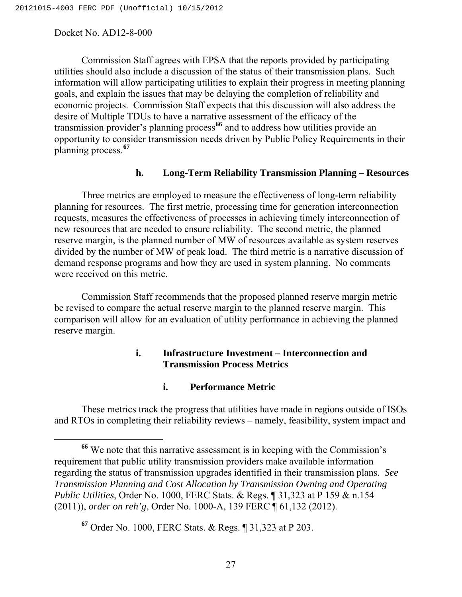Commission Staff agrees with EPSA that the reports provided by participating utilities should also include a discussion of the status of their transmission plans. Such information will allow participating utilities to explain their progress in meeting planning goals, and explain the issues that may be delaying the completion of reliability and economic projects. Commission Staff expects that this discussion will also address the desire of Multiple TDUs to have a narrative assessment of the efficacy of the transmission provider's planning process**[66](#page-26-0)** and to address how utilities provide an opportunity to consider transmission needs driven by Public Policy Requirements in their planning process.**[67](#page-26-1)**

#### **h. Long-Term Reliability Transmission Planning – Resources**

Three metrics are employed to measure the effectiveness of long-term reliability planning for resources. The first metric, processing time for generation interconnection requests, measures the effectiveness of processes in achieving timely interconnection of new resources that are needed to ensure reliability. The second metric, the planned reserve margin, is the planned number of MW of resources available as system reserves divided by the number of MW of peak load. The third metric is a narrative discussion of demand response programs and how they are used in system planning. No comments were received on this metric.

 Commission Staff recommends that the proposed planned reserve margin metric be revised to compare the actual reserve margin to the planned reserve margin. This comparison will allow for an evaluation of utility performance in achieving the planned reserve margin.

# **i. Infrastructure Investment – Interconnection and Transmission Process Metrics**

#### **i. Performance Metric**

These metrics track the progress that utilities have made in regions outside of ISOs and RTOs in completing their reliability reviews – namely, feasibility, system impact and

<span id="page-26-0"></span>**<sup>66</sup>** We note that this narrative assessment is in keeping with the Commission's requirement that public utility transmission providers make available information regarding the status of transmission upgrades identified in their transmission plans. *See Transmission Planning and Cost Allocation by Transmission Owning and Operating Public Utilities*, Order No. 1000, FERC Stats. & Regs. ¶ 31,323 at P 159 & n.154 (2011)), *order on reh'g*, Order No. 1000-A, 139 FERC ¶ 61,132 (2012).

<span id="page-26-1"></span>**<sup>67</sup>** Order No. 1000, FERC Stats. & Regs. ¶ 31,323 at P 203.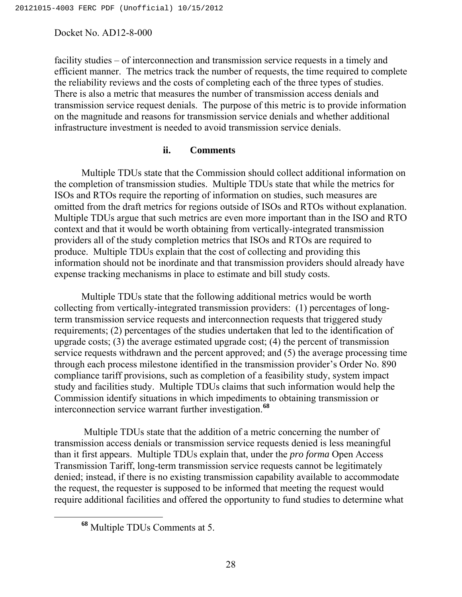facility studies – of interconnection and transmission service requests in a timely and efficient manner. The metrics track the number of requests, the time required to complete the reliability reviews and the costs of completing each of the three types of studies. There is also a metric that measures the number of transmission access denials and transmission service request denials. The purpose of this metric is to provide information on the magnitude and reasons for transmission service denials and whether additional infrastructure investment is needed to avoid transmission service denials.

## **ii. Comments**

 Multiple TDUs state that the Commission should collect additional information on the completion of transmission studies. Multiple TDUs state that while the metrics for ISOs and RTOs require the reporting of information on studies, such measures are omitted from the draft metrics for regions outside of ISOs and RTOs without explanation. Multiple TDUs argue that such metrics are even more important than in the ISO and RTO context and that it would be worth obtaining from vertically-integrated transmission providers all of the study completion metrics that ISOs and RTOs are required to produce. Multiple TDUs explain that the cost of collecting and providing this information should not be inordinate and that transmission providers should already have expense tracking mechanisms in place to estimate and bill study costs.

 Multiple TDUs state that the following additional metrics would be worth collecting from vertically-integrated transmission providers: (1) percentages of longterm transmission service requests and interconnection requests that triggered study requirements; (2) percentages of the studies undertaken that led to the identification of upgrade costs; (3) the average estimated upgrade cost; (4) the percent of transmission service requests withdrawn and the percent approved; and (5) the average processing time through each process milestone identified in the transmission provider's Order No. 890 compliance tariff provisions, such as completion of a feasibility study, system impact study and facilities study. Multiple TDUs claims that such information would help the Commission identify situations in which impediments to obtaining transmission or interconnection service warrant further investigation.**[68](#page-27-0)**

Multiple TDUs state that the addition of a metric concerning the number of transmission access denials or transmission service requests denied is less meaningful than it first appears. Multiple TDUs explain that, under the *pro forma* Open Access Transmission Tariff, long-term transmission service requests cannot be legitimately denied; instead, if there is no existing transmission capability available to accommodate the request, the requester is supposed to be informed that meeting the request would require additional facilities and offered the opportunity to fund studies to determine what

<span id="page-27-0"></span>**<sup>68</sup>** Multiple TDUs Comments at 5.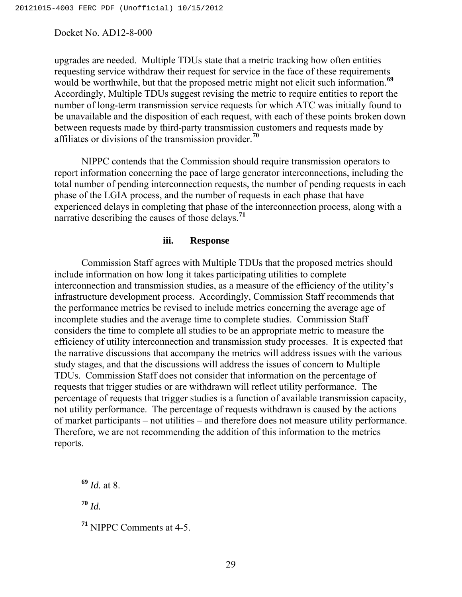upgrades are needed. Multiple TDUs state that a metric tracking how often entities requesting service withdraw their request for service in the face of these requirements would be worthwhile, but that the proposed metric might not elicit such information.**[69](#page-28-0)** Accordingly, Multiple TDUs suggest revising the metric to require entities to report the number of long-term transmission service requests for which ATC was initially found to be unavailable and the disposition of each request, with each of these points broken down between requests made by third-party transmission customers and requests made by affiliates or divisions of the transmission provider.**[70](#page-28-1)**

NIPPC contends that the Commission should require transmission operators to report information concerning the pace of large generator interconnections, including the total number of pending interconnection requests, the number of pending requests in each phase of the LGIA process, and the number of requests in each phase that have experienced delays in completing that phase of the interconnection process, along with a narrative describing the causes of those delays.**[71](#page-28-2)**

#### **iii. Response**

Commission Staff agrees with Multiple TDUs that the proposed metrics should include information on how long it takes participating utilities to complete interconnection and transmission studies, as a measure of the efficiency of the utility's infrastructure development process. Accordingly, Commission Staff recommends that the performance metrics be revised to include metrics concerning the average age of incomplete studies and the average time to complete studies. Commission Staff considers the time to complete all studies to be an appropriate metric to measure the efficiency of utility interconnection and transmission study processes. It is expected that the narrative discussions that accompany the metrics will address issues with the various study stages, and that the discussions will address the issues of concern to Multiple TDUs. Commission Staff does not consider that information on the percentage of requests that trigger studies or are withdrawn will reflect utility performance. The percentage of requests that trigger studies is a function of available transmission capacity, not utility performance. The percentage of requests withdrawn is caused by the actions of market participants – not utilities – and therefore does not measure utility performance. Therefore, we are not recommending the addition of this information to the metrics reports.

<span id="page-28-0"></span>**<sup>69</sup>** *Id.* at 8.

<span id="page-28-1"></span>**<sup>70</sup>** *Id.*

<span id="page-28-2"></span>**<sup>71</sup>** NIPPC Comments at 4-5.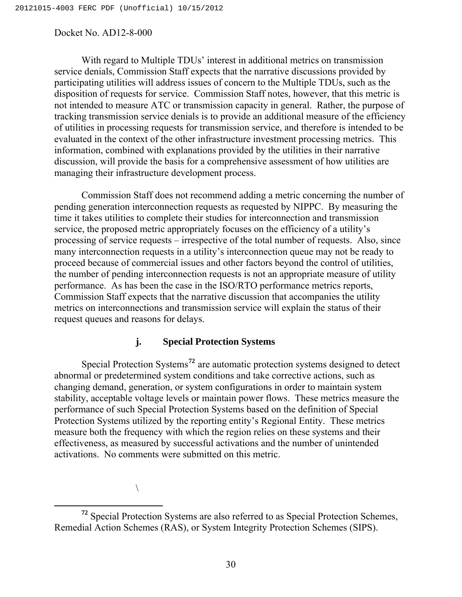With regard to Multiple TDUs' interest in additional metrics on transmission service denials, Commission Staff expects that the narrative discussions provided by participating utilities will address issues of concern to the Multiple TDUs, such as the disposition of requests for service. Commission Staff notes, however, that this metric is not intended to measure ATC or transmission capacity in general. Rather, the purpose of tracking transmission service denials is to provide an additional measure of the efficiency of utilities in processing requests for transmission service, and therefore is intended to be evaluated in the context of the other infrastructure investment processing metrics. This information, combined with explanations provided by the utilities in their narrative discussion, will provide the basis for a comprehensive assessment of how utilities are managing their infrastructure development process.

 Commission Staff does not recommend adding a metric concerning the number of pending generation interconnection requests as requested by NIPPC. By measuring the time it takes utilities to complete their studies for interconnection and transmission service, the proposed metric appropriately focuses on the efficiency of a utility's processing of service requests – irrespective of the total number of requests. Also, since many interconnection requests in a utility's interconnection queue may not be ready to proceed because of commercial issues and other factors beyond the control of utilities, the number of pending interconnection requests is not an appropriate measure of utility performance. As has been the case in the ISO/RTO performance metrics reports, Commission Staff expects that the narrative discussion that accompanies the utility metrics on interconnections and transmission service will explain the status of their request queues and reasons for delays.

#### **j. Special Protection Systems**

Special Protection Systems**[72](#page-29-0)** are automatic protection systems designed to detect abnormal or predetermined system conditions and take corrective actions, such as changing demand, generation, or system configurations in order to maintain system stability, acceptable voltage levels or maintain power flows. These metrics measure the performance of such Special Protection Systems based on the definition of Special Protection Systems utilized by the reporting entity's Regional Entity. These metrics measure both the frequency with which the region relies on these systems and their effectiveness, as measured by successful activations and the number of unintended activations. No comments were submitted on this metric.

 $\sqrt{2}$ 

<span id="page-29-0"></span>**<sup>72</sup>** Special Protection Systems are also referred to as Special Protection Schemes, Remedial Action Schemes (RAS), or System Integrity Protection Schemes (SIPS).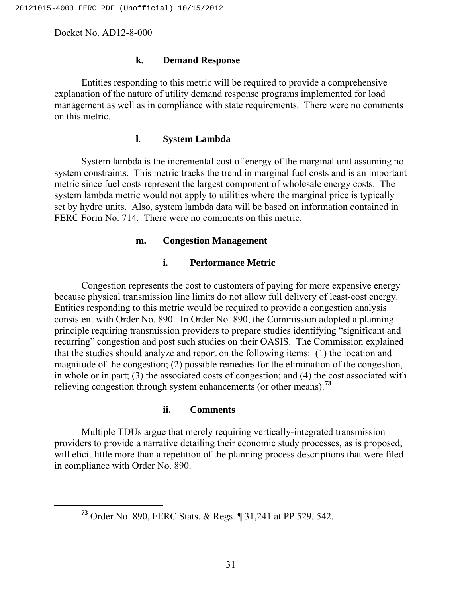#### **k. Demand Response**

Entities responding to this metric will be required to provide a comprehensive explanation of the nature of utility demand response programs implemented for load management as well as in compliance with state requirements. There were no comments on this metric.

#### **l**. **System Lambda**

System lambda is the incremental cost of energy of the marginal unit assuming no system constraints. This metric tracks the trend in marginal fuel costs and is an important metric since fuel costs represent the largest component of wholesale energy costs. The system lambda metric would not apply to utilities where the marginal price is typically set by hydro units. Also, system lambda data will be based on information contained in FERC Form No. 714. There were no comments on this metric.

#### **m. Congestion Management**

# **i. Performance Metric**

Congestion represents the cost to customers of paying for more expensive energy because physical transmission line limits do not allow full delivery of least-cost energy. Entities responding to this metric would be required to provide a congestion analysis consistent with Order No. 890. In Order No. 890, the Commission adopted a planning principle requiring transmission providers to prepare studies identifying "significant and recurring" congestion and post such studies on their OASIS. The Commission explained that the studies should analyze and report on the following items: (1) the location and magnitude of the congestion; (2) possible remedies for the elimination of the congestion, in whole or in part; (3) the associated costs of congestion; and (4) the cost associated with relieving congestion through system enhancements (or other means).**[73](#page-30-0)**

#### **ii. Comments**

Multiple TDUs argue that merely requiring vertically-integrated transmission providers to provide a narrative detailing their economic study processes, as is proposed, will elicit little more than a repetition of the planning process descriptions that were filed in compliance with Order No. 890.

<span id="page-30-0"></span>**<sup>73</sup>** Order No. 890, FERC Stats. & Regs. ¶ 31,241 at PP 529, 542.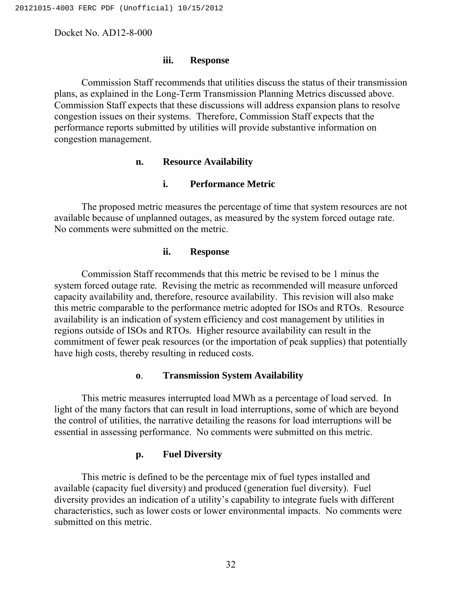#### **iii. Response**

Commission Staff recommends that utilities discuss the status of their transmission plans, as explained in the Long-Term Transmission Planning Metrics discussed above. Commission Staff expects that these discussions will address expansion plans to resolve congestion issues on their systems. Therefore, Commission Staff expects that the performance reports submitted by utilities will provide substantive information on congestion management.

#### **n. Resource Availability**

### **i. Performance Metric**

The proposed metric measures the percentage of time that system resources are not available because of unplanned outages, as measured by the system forced outage rate. No comments were submitted on the metric.

#### **ii. Response**

Commission Staff recommends that this metric be revised to be 1 minus the system forced outage rate. Revising the metric as recommended will measure unforced capacity availability and, therefore, resource availability. This revision will also make this metric comparable to the performance metric adopted for ISOs and RTOs. Resource availability is an indication of system efficiency and cost management by utilities in regions outside of ISOs and RTOs. Higher resource availability can result in the commitment of fewer peak resources (or the importation of peak supplies) that potentially have high costs, thereby resulting in reduced costs.

#### **o**. **Transmission System Availability**

This metric measures interrupted load MWh as a percentage of load served. In light of the many factors that can result in load interruptions, some of which are beyond the control of utilities, the narrative detailing the reasons for load interruptions will be essential in assessing performance. No comments were submitted on this metric.

# **p. Fuel Diversity**

This metric is defined to be the percentage mix of fuel types installed and available (capacity fuel diversity) and produced (generation fuel diversity). Fuel diversity provides an indication of a utility's capability to integrate fuels with different characteristics, such as lower costs or lower environmental impacts. No comments were submitted on this metric.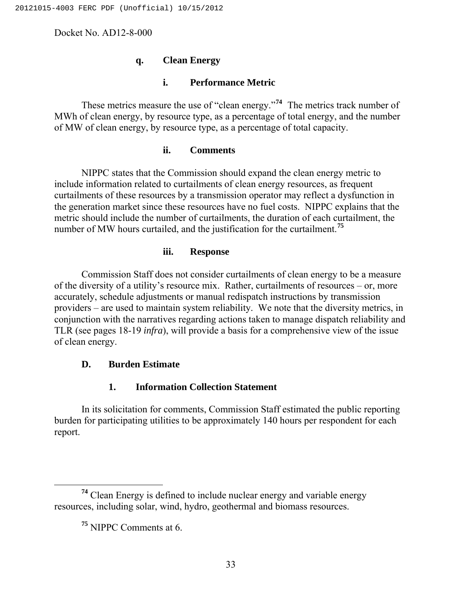# **q. Clean Energy**

# **i. Performance Metric**

These metrics measure the use of "clean energy."**[74](#page-32-0)** The metrics track number of MWh of clean energy, by resource type, as a percentage of total energy, and the number of MW of clean energy, by resource type, as a percentage of total capacity.

#### **ii. Comments**

NIPPC states that the Commission should expand the clean energy metric to include information related to curtailments of clean energy resources, as frequent curtailments of these resources by a transmission operator may reflect a dysfunction in the generation market since these resources have no fuel costs. NIPPC explains that the metric should include the number of curtailments, the duration of each curtailment, the number of MW hours curtailed, and the justification for the curtailment.**[75](#page-32-1)**

#### **iii. Response**

Commission Staff does not consider curtailments of clean energy to be a measure of the diversity of a utility's resource mix. Rather, curtailments of resources – or, more accurately, schedule adjustments or manual redispatch instructions by transmission providers – are used to maintain system reliability. We note that the diversity metrics, in conjunction with the narratives regarding actions taken to manage dispatch reliability and TLR (see pages 18-19 *infra*), will provide a basis for a comprehensive view of the issue of clean energy.

# **D. Burden Estimate**

# **1. Information Collection Statement**

In its solicitation for comments, Commission Staff estimated the public reporting burden for participating utilities to be approximately 140 hours per respondent for each report.

<span id="page-32-1"></span><span id="page-32-0"></span>**<sup>74</sup>** Clean Energy is defined to include nuclear energy and variable energy resources, including solar, wind, hydro, geothermal and biomass resources.

**<sup>75</sup>** NIPPC Comments at 6.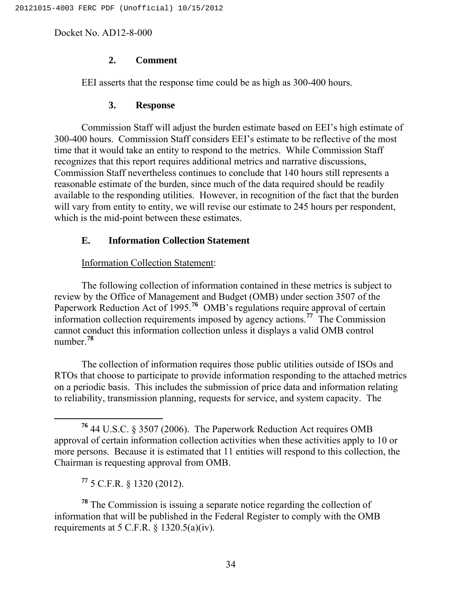# **2. Comment**

EEI asserts that the response time could be as high as 300-400 hours.

# **3. Response**

Commission Staff will adjust the burden estimate based on EEI's high estimate of 300-400 hours. Commission Staff considers EEI's estimate to be reflective of the most time that it would take an entity to respond to the metrics. While Commission Staff recognizes that this report requires additional metrics and narrative discussions, Commission Staff nevertheless continues to conclude that 140 hours still represents a reasonable estimate of the burden, since much of the data required should be readily available to the responding utilities. However, in recognition of the fact that the burden will vary from entity to entity, we will revise our estimate to 245 hours per respondent, which is the mid-point between these estimates.

# **E. Information Collection Statement**

# Information Collection Statement:

The following collection of information contained in these metrics is subject to review by the Office of Management and Budget (OMB) under section 3507 of the Paperwork Reduction Act of 1995.<sup>[76](#page-33-0)</sup> OMB's regulations require approval of certain information collection requirements imposed by agency actions.**[77](#page-33-1)** The Commission cannot conduct this information collection unless it displays a valid OMB control number.**[78](#page-33-2)**

The collection of information requires those public utilities outside of ISOs and RTOs that choose to participate to provide information responding to the attached metrics on a periodic basis. This includes the submission of price data and information relating to reliability, transmission planning, requests for service, and system capacity. The

**<sup>77</sup>** 5 C.F.R. § 1320 (2012).

<span id="page-33-2"></span><span id="page-33-1"></span>**<sup>78</sup>** The Commission is issuing a separate notice regarding the collection of information that will be published in the Federal Register to comply with the OMB requirements at 5 C.F.R.  $\S$  1320.5(a)(iv).

<span id="page-33-0"></span>**<sup>76</sup>** 44 U.S.C. § 3507 (2006). The Paperwork Reduction Act requires OMB approval of certain information collection activities when these activities apply to 10 or more persons. Because it is estimated that 11 entities will respond to this collection, the Chairman is requesting approval from OMB.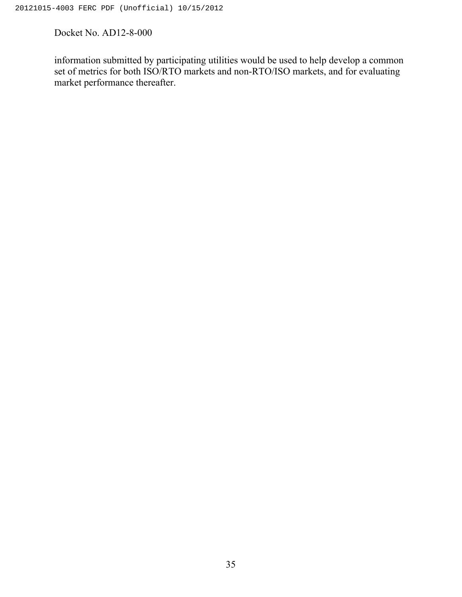information submitted by participating utilities would be used to help develop a common set of metrics for both ISO/RTO markets and non-RTO/ISO markets, and for evaluating market performance thereafter.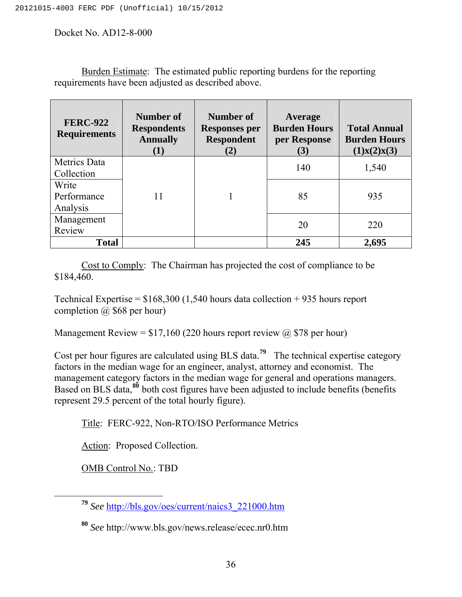Burden Estimate: The estimated public reporting burdens for the reporting requirements have been adjusted as described above.

| <b>FERC-922</b><br><b>Requirements</b> | Number of<br><b>Respondents</b><br><b>Annually</b><br>(1) | Number of<br><b>Responses per</b><br><b>Respondent</b><br>(2) | Average<br><b>Burden Hours</b><br>per Response<br>(3) | <b>Total Annual</b><br><b>Burden Hours</b><br>(1)x(2)x(3) |
|----------------------------------------|-----------------------------------------------------------|---------------------------------------------------------------|-------------------------------------------------------|-----------------------------------------------------------|
| <b>Metrics Data</b><br>Collection      |                                                           |                                                               | 140                                                   | 1,540                                                     |
| Write<br>Performance<br>Analysis       | 11                                                        |                                                               | 85                                                    | 935                                                       |
| Management<br>Review                   |                                                           |                                                               | 20                                                    | 220                                                       |
| <b>Total</b>                           |                                                           |                                                               | 245                                                   | 2,695                                                     |

Cost to Comply: The Chairman has projected the cost of compliance to be \$184,460.

Technical Expertise =  $$168,300$  (1,540 hours data collection + 935 hours report completion  $\omega$  \$68 per hour)

Management Review =  $$17,160$  (220 hours report review  $@$78$  per hour)

Cost per hour figures are calculated using BLS data.**[79](#page-35-0)** The technical expertise category factors in the median wage for an engineer, analyst, attorney and economist. The management category factors in the median wage for general and operations managers. Based on BLS data,<sup>[80](#page-35-1)</sup> both cost figures have been adjusted to include benefits (benefits represent 29.5 percent of the total hourly figure).

Title: FERC-922, Non-RTO/ISO Performance Metrics

Action: Proposed Collection.

OMB Control No.: TBD

<span id="page-35-0"></span>**<sup>79</sup>** *See* [http://bls.gov/oes/current/naics3\\_221000.htm](http://bls.gov/oes/current/naics3_221000.htm)

<span id="page-35-1"></span>**<sup>80</sup>** *See* http://www.bls.gov/news.release/ecec.nr0.htm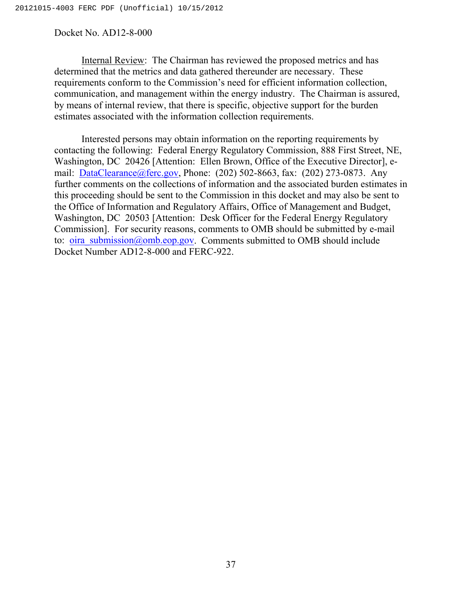Internal Review: The Chairman has reviewed the proposed metrics and has determined that the metrics and data gathered thereunder are necessary. These requirements conform to the Commission's need for efficient information collection, communication, and management within the energy industry. The Chairman is assured, by means of internal review, that there is specific, objective support for the burden estimates associated with the information collection requirements.

Interested persons may obtain information on the reporting requirements by contacting the following: Federal Energy Regulatory Commission, 888 First Street, NE, Washington, DC 20426 [Attention: Ellen Brown, Office of the Executive Director], e-mail: [DataClearance@ferc.gov,](mailto:DataClearance@ferc.gov) Phone: (202) 502-8663, fax: (202) 273-0873. Any further comments on the collections of information and the associated burden estimates in this proceeding should be sent to the Commission in this docket and may also be sent to the Office of Information and Regulatory Affairs, Office of Management and Budget, Washington, DC 20503 [Attention: Desk Officer for the Federal Energy Regulatory Commission]. For security reasons, comments to OMB should be submitted by e-mail to:  $oira \text{ submission@omb.eop.gov}$ . Comments submitted to OMB should include Docket Number AD12-8-000 and FERC-922.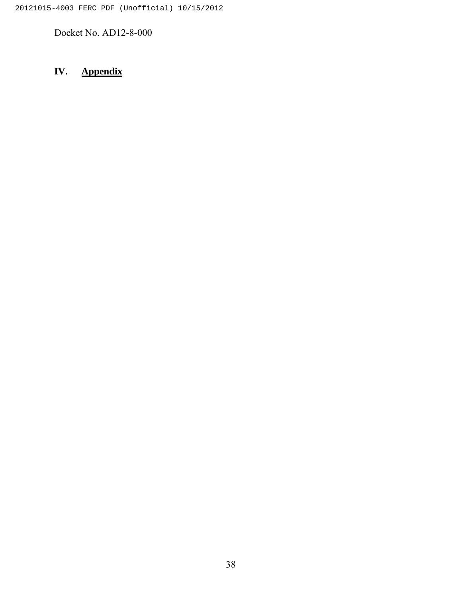# **IV. Appendix**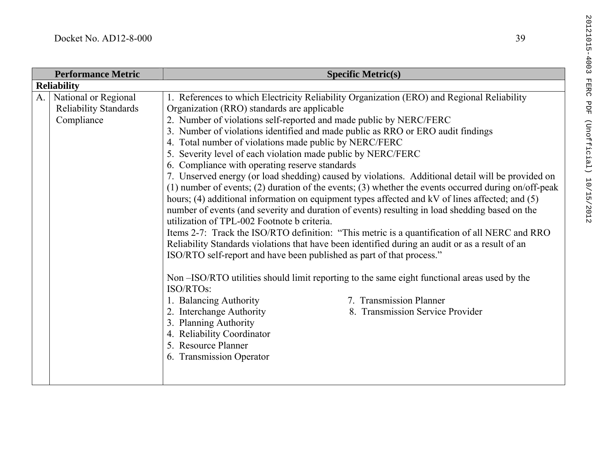| <b>Performance Metric</b> |                              | <b>Specific Metric(s)</b>                                                                            |  |
|---------------------------|------------------------------|------------------------------------------------------------------------------------------------------|--|
| <b>Reliability</b>        |                              |                                                                                                      |  |
| A.                        | National or Regional         | 1. References to which Electricity Reliability Organization (ERO) and Regional Reliability           |  |
|                           | <b>Reliability Standards</b> | Organization (RRO) standards are applicable                                                          |  |
|                           | Compliance                   | 2. Number of violations self-reported and made public by NERC/FERC                                   |  |
|                           |                              | 3. Number of violations identified and made public as RRO or ERO audit findings                      |  |
|                           |                              | 4. Total number of violations made public by NERC/FERC                                               |  |
|                           |                              | 5. Severity level of each violation made public by NERC/FERC                                         |  |
|                           |                              | 6. Compliance with operating reserve standards                                                       |  |
|                           |                              | 7. Unserved energy (or load shedding) caused by violations. Additional detail will be provided on    |  |
|                           |                              | (1) number of events; (2) duration of the events; (3) whether the events occurred during on/off-peak |  |
|                           |                              | hours; (4) additional information on equipment types affected and kV of lines affected; and (5)      |  |
|                           |                              | number of events (and severity and duration of events) resulting in load shedding based on the       |  |
|                           |                              | utilization of TPL-002 Footnote b criteria.                                                          |  |
|                           |                              | Items 2-7: Track the ISO/RTO definition: "This metric is a quantification of all NERC and RRO        |  |
|                           |                              | Reliability Standards violations that have been identified during an audit or as a result of an      |  |
|                           |                              | ISO/RTO self-report and have been published as part of that process."                                |  |
|                           |                              | Non-ISO/RTO utilities should limit reporting to the same eight functional areas used by the          |  |
|                           |                              | ISO/RTOs:                                                                                            |  |
|                           |                              | 1. Balancing Authority<br>7. Transmission Planner                                                    |  |
|                           |                              | 2. Interchange Authority<br>8. Transmission Service Provider                                         |  |
|                           |                              | 3. Planning Authority                                                                                |  |
|                           |                              | 4. Reliability Coordinator                                                                           |  |
|                           |                              | 5. Resource Planner                                                                                  |  |
|                           |                              | 6. Transmission Operator                                                                             |  |
|                           |                              |                                                                                                      |  |
|                           |                              |                                                                                                      |  |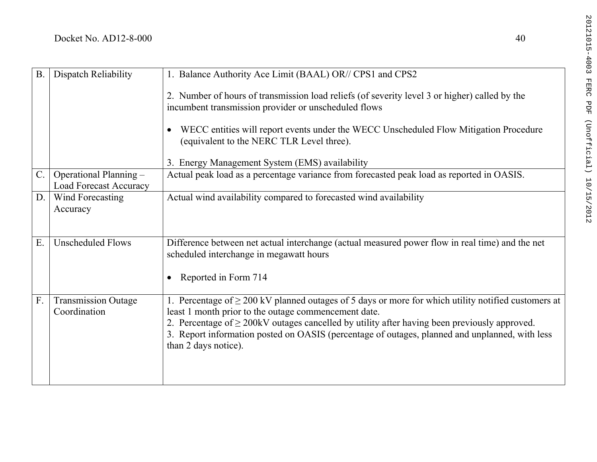| <b>B</b> .  | Dispatch Reliability                                    | 1. Balance Authority Ace Limit (BAAL) OR// CPS1 and CPS2                                                                                                                                                                                                                                                                                                                                        |
|-------------|---------------------------------------------------------|-------------------------------------------------------------------------------------------------------------------------------------------------------------------------------------------------------------------------------------------------------------------------------------------------------------------------------------------------------------------------------------------------|
|             |                                                         | 2. Number of hours of transmission load reliefs (of severity level 3 or higher) called by the<br>incumbent transmission provider or unscheduled flows                                                                                                                                                                                                                                           |
|             |                                                         | WECC entities will report events under the WECC Unscheduled Flow Mitigation Procedure<br>$\bullet$<br>(equivalent to the NERC TLR Level three).                                                                                                                                                                                                                                                 |
|             |                                                         | 3. Energy Management System (EMS) availability                                                                                                                                                                                                                                                                                                                                                  |
| $C_{\cdot}$ | Operational Planning -<br><b>Load Forecast Accuracy</b> | Actual peak load as a percentage variance from forecasted peak load as reported in OASIS.                                                                                                                                                                                                                                                                                                       |
| D.          | Wind Forecasting<br>Accuracy                            | Actual wind availability compared to forecasted wind availability                                                                                                                                                                                                                                                                                                                               |
| Ε.          | <b>Unscheduled Flows</b>                                | Difference between net actual interchange (actual measured power flow in real time) and the net<br>scheduled interchange in megawatt hours<br>Reported in Form 714<br>$\bullet$                                                                                                                                                                                                                 |
| F.          | <b>Transmission Outage</b><br>Coordination              | 1. Percentage of $\geq$ 200 kV planned outages of 5 days or more for which utility notified customers at<br>least 1 month prior to the outage commencement date.<br>2. Percentage of $\geq$ 200kV outages cancelled by utility after having been previously approved.<br>3. Report information posted on OASIS (percentage of outages, planned and unplanned, with less<br>than 2 days notice). |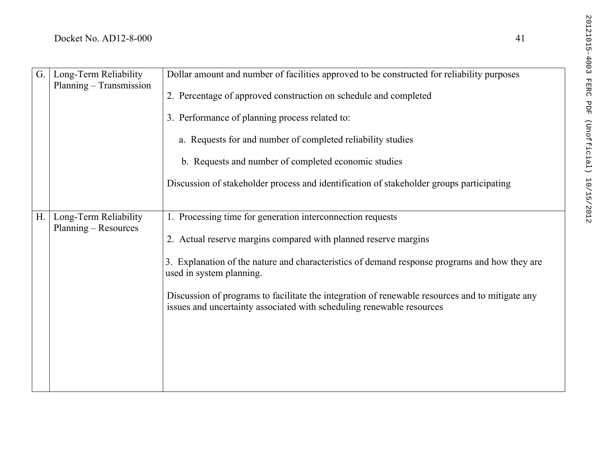| 41                                  | 20121015-4003           |
|-------------------------------------|-------------------------|
| structed for reliability purposes   |                         |
| mpleted                             | <b>FERC</b><br>PDF      |
|                                     |                         |
| dies                                |                         |
| S                                   | (Unofficial) 10/15/2012 |
| eholder groups participating        |                         |
|                                     |                         |
|                                     |                         |
| margins                             |                         |
| response programs and how they are  |                         |
| wable resources and to mitigate any |                         |

| G.             | Long-Term Reliability<br>Planning - Transmission | Dollar amount and number of facilities approved to be constructed for reliability purposes<br>2. Percentage of approved construction on schedule and completed<br>3. Performance of planning process related to:<br>a. Requests for and number of completed reliability studies<br>b. Requests and number of completed economic studies<br>Discussion of stakeholder process and identification of stakeholder groups participating    |
|----------------|--------------------------------------------------|----------------------------------------------------------------------------------------------------------------------------------------------------------------------------------------------------------------------------------------------------------------------------------------------------------------------------------------------------------------------------------------------------------------------------------------|
|                |                                                  |                                                                                                                                                                                                                                                                                                                                                                                                                                        |
| H <sub>1</sub> | Long-Term Reliability<br>Planning – Resources    | 1. Processing time for generation interconnection requests<br>2. Actual reserve margins compared with planned reserve margins<br>3. Explanation of the nature and characteristics of demand response programs and how they are<br>used in system planning.<br>Discussion of programs to facilitate the integration of renewable resources and to mitigate any<br>issues and uncertainty associated with scheduling renewable resources |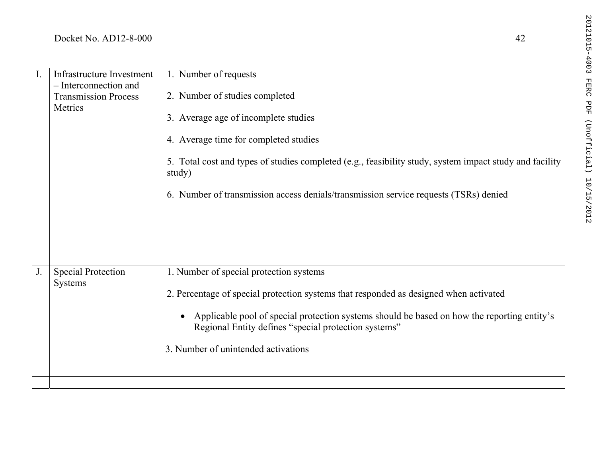| $\mathbf{I}$ . | Infrastructure Investment                                       | 1. Number of requests                                                                                                                               |
|----------------|-----------------------------------------------------------------|-----------------------------------------------------------------------------------------------------------------------------------------------------|
|                | - Interconnection and<br><b>Transmission Process</b><br>Metrics | 2. Number of studies completed                                                                                                                      |
|                |                                                                 | 3. Average age of incomplete studies                                                                                                                |
|                |                                                                 | 4. Average time for completed studies                                                                                                               |
|                |                                                                 | 5. Total cost and types of studies completed (e.g., feasibility study, system impact study and facility<br>study)                                   |
|                |                                                                 | 6. Number of transmission access denials/transmission service requests (TSRs) denied                                                                |
|                |                                                                 |                                                                                                                                                     |
|                |                                                                 |                                                                                                                                                     |
|                |                                                                 |                                                                                                                                                     |
| J.             | <b>Special Protection</b><br><b>Systems</b>                     | 1. Number of special protection systems                                                                                                             |
|                |                                                                 | 2. Percentage of special protection systems that responded as designed when activated                                                               |
|                |                                                                 | Applicable pool of special protection systems should be based on how the reporting entity's<br>Regional Entity defines "special protection systems" |
|                |                                                                 | 3. Number of unintended activations                                                                                                                 |
|                |                                                                 |                                                                                                                                                     |

 $42$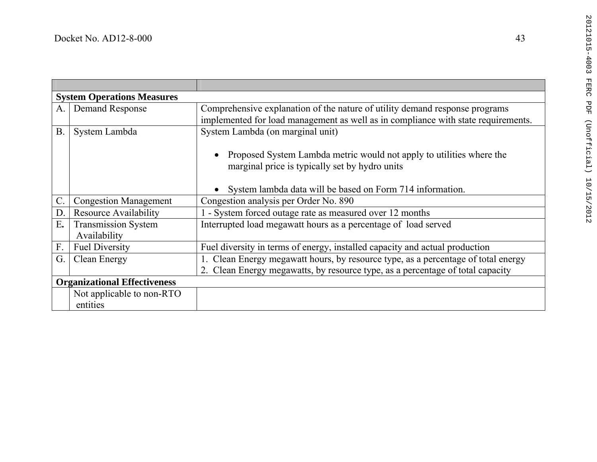|                                     | <b>System Operations Measures</b> |                                                                                   |  |  |
|-------------------------------------|-----------------------------------|-----------------------------------------------------------------------------------|--|--|
| A.                                  | Demand Response                   | Comprehensive explanation of the nature of utility demand response programs       |  |  |
|                                     |                                   | implemented for load management as well as in compliance with state requirements. |  |  |
| $B$ .                               | System Lambda                     | System Lambda (on marginal unit)                                                  |  |  |
|                                     |                                   |                                                                                   |  |  |
|                                     |                                   | Proposed System Lambda metric would not apply to utilities where the              |  |  |
|                                     |                                   | marginal price is typically set by hydro units                                    |  |  |
|                                     |                                   |                                                                                   |  |  |
|                                     |                                   | • System lambda data will be based on Form 714 information.                       |  |  |
| $\mathcal{C}$ .                     | <b>Congestion Management</b>      | Congestion analysis per Order No. 890                                             |  |  |
| D.                                  | <b>Resource Availability</b>      | 1 - System forced outage rate as measured over 12 months                          |  |  |
| E.                                  | <b>Transmission System</b>        | Interrupted load megawatt hours as a percentage of load served                    |  |  |
|                                     | Availability                      |                                                                                   |  |  |
| F.                                  | <b>Fuel Diversity</b>             | Fuel diversity in terms of energy, installed capacity and actual production       |  |  |
| G.                                  | Clean Energy                      | Clean Energy megawatt hours, by resource type, as a percentage of total energy    |  |  |
|                                     |                                   | 2. Clean Energy megawatts, by resource type, as a percentage of total capacity    |  |  |
| <b>Organizational Effectiveness</b> |                                   |                                                                                   |  |  |
|                                     | Not applicable to non-RTO         |                                                                                   |  |  |
|                                     | entities                          |                                                                                   |  |  |